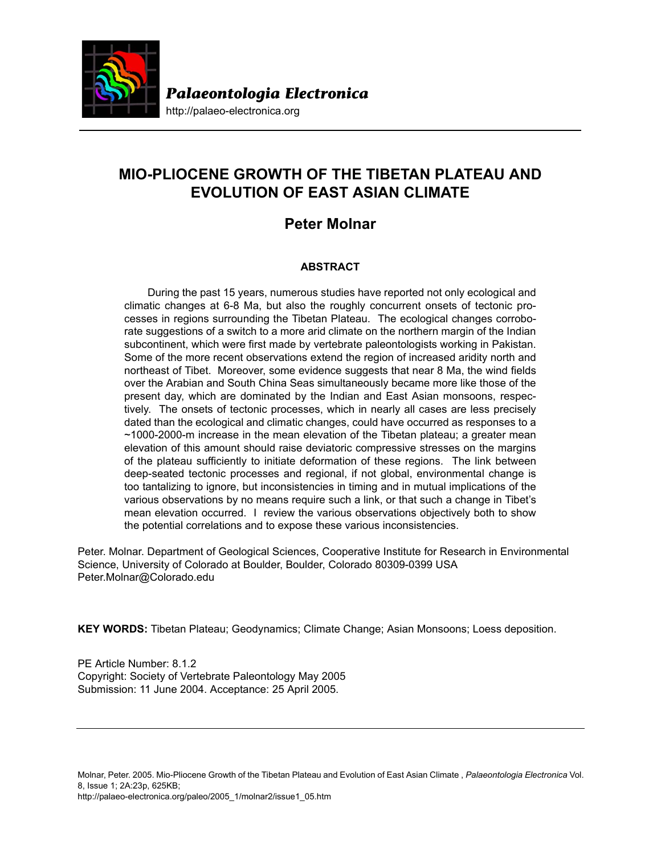

http://palaeo-electronica.org

# **MIO-PLIOCENE GROWTH OF THE TIBETAN PLATEAU AND EVOLUTION OF EAST ASIAN CLIMATE**

## **Peter Molnar**

## **ABSTRACT**

During the past 15 years, numerous studies have reported not only ecological and climatic changes at 6-8 Ma, but also the roughly concurrent onsets of tectonic processes in regions surrounding the Tibetan Plateau. The ecological changes corroborate suggestions of a switch to a more arid climate on the northern margin of the Indian subcontinent, which were first made by vertebrate paleontologists working in Pakistan. Some of the more recent observations extend the region of increased aridity north and northeast of Tibet. Moreover, some evidence suggests that near 8 Ma, the wind fields over the Arabian and South China Seas simultaneously became more like those of the present day, which are dominated by the Indian and East Asian monsoons, respectively. The onsets of tectonic processes, which in nearly all cases are less precisely dated than the ecological and climatic changes, could have occurred as responses to a  $~1000$ -2000-m increase in the mean elevation of the Tibetan plateau; a greater mean elevation of this amount should raise deviatoric compressive stresses on the margins of the plateau sufficiently to initiate deformation of these regions. The link between deep-seated tectonic processes and regional, if not global, environmental change is too tantalizing to ignore, but inconsistencies in timing and in mutual implications of the various observations by no means require such a link, or that such a change in Tibet's mean elevation occurred. I review the various observations objectively both to show the potential correlations and to expose these various inconsistencies.

Peter. Molnar. Department of Geological Sciences, Cooperative Institute for Research in Environmental Science, University of Colorado at Boulder, Boulder, Colorado 80309-0399 USA Peter.Molnar@Colorado.edu

**KEY WORDS:** Tibetan Plateau; Geodynamics; Climate Change; Asian Monsoons; Loess deposition.

PE Article Number: 8.1.2 Copyright: Society of Vertebrate Paleontology May 2005 Submission: 11 June 2004. Acceptance: 25 April 2005.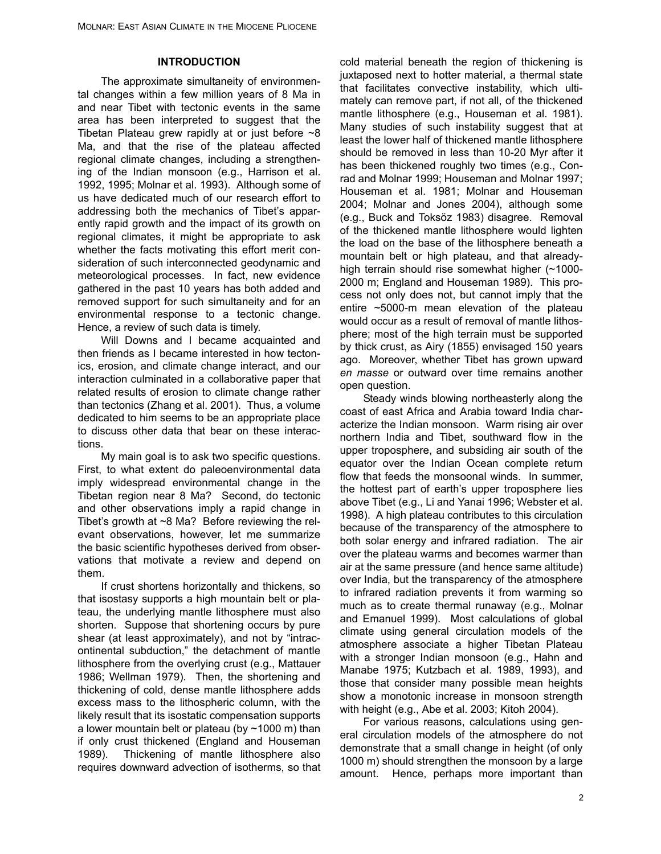## **INTRODUCTION**

The approximate simultaneity of environmental changes within a few million years of 8 Ma in and near Tibet with tectonic events in the same area has been interpreted to suggest that the Tibetan Plateau grew rapidly at or just before  $\sim8$ Ma, and that the rise of the plateau affected regional climate changes, including a strengthening of the Indian monsoon (e.g., Harrison et al. 1992, 1995; Molnar et al. 1993). Although some of us have dedicated much of our research effort to addressing both the mechanics of Tibet's apparently rapid growth and the impact of its growth on regional climates, it might be appropriate to ask whether the facts motivating this effort merit consideration of such interconnected geodynamic and meteorological processes. In fact, new evidence gathered in the past 10 years has both added and removed support for such simultaneity and for an environmental response to a tectonic change. Hence, a review of such data is timely.

Will Downs and I became acquainted and then friends as I became interested in how tectonics, erosion, and climate change interact, and our interaction culminated in a collaborative paper that related results of erosion to climate change rather than tectonics (Zhang et al. 2001). Thus, a volume dedicated to him seems to be an appropriate place to discuss other data that bear on these interactions.

My main goal is to ask two specific questions. First, to what extent do paleoenvironmental data imply widespread environmental change in the Tibetan region near 8 Ma? Second, do tectonic and other observations imply a rapid change in Tibet's growth at ~8 Ma? Before reviewing the relevant observations, however, let me summarize the basic scientific hypotheses derived from observations that motivate a review and depend on them.

If crust shortens horizontally and thickens, so that isostasy supports a high mountain belt or plateau, the underlying mantle lithosphere must also shorten. Suppose that shortening occurs by pure shear (at least approximately), and not by "intracontinental subduction," the detachment of mantle lithosphere from the overlying crust (e.g., Mattauer 1986; Wellman 1979). Then, the shortening and thickening of cold, dense mantle lithosphere adds excess mass to the lithospheric column, with the likely result that its isostatic compensation supports a lower mountain belt or plateau (by  $\sim$  1000 m) than if only crust thickened (England and Houseman 1989). Thickening of mantle lithosphere also requires downward advection of isotherms, so that cold material beneath the region of thickening is juxtaposed next to hotter material, a thermal state that facilitates convective instability, which ultimately can remove part, if not all, of the thickened mantle lithosphere (e.g., Houseman et al. 1981). Many studies of such instability suggest that at least the lower half of thickened mantle lithosphere should be removed in less than 10-20 Myr after it has been thickened roughly two times (e.g., Conrad and Molnar 1999; Houseman and Molnar 1997; Houseman et al. 1981; Molnar and Houseman 2004; Molnar and Jones 2004), although some (e.g., Buck and Toksöz 1983) disagree. Removal of the thickened mantle lithosphere would lighten the load on the base of the lithosphere beneath a mountain belt or high plateau, and that alreadyhigh terrain should rise somewhat higher (~1000- 2000 m; England and Houseman 1989). This process not only does not, but cannot imply that the entire ~5000-m mean elevation of the plateau would occur as a result of removal of mantle lithosphere; most of the high terrain must be supported by thick crust, as Airy (1855) envisaged 150 years ago. Moreover, whether Tibet has grown upward *en masse* or outward over time remains another open question.

Steady winds blowing northeasterly along the coast of east Africa and Arabia toward India characterize the Indian monsoon. Warm rising air over northern India and Tibet, southward flow in the upper troposphere, and subsiding air south of the equator over the Indian Ocean complete return flow that feeds the monsoonal winds. In summer, the hottest part of earth's upper troposphere lies above Tibet (e.g., Li and Yanai 1996; Webster et al. 1998). A high plateau contributes to this circulation because of the transparency of the atmosphere to both solar energy and infrared radiation. The air over the plateau warms and becomes warmer than air at the same pressure (and hence same altitude) over India, but the transparency of the atmosphere to infrared radiation prevents it from warming so much as to create thermal runaway (e.g., Molnar and Emanuel 1999). Most calculations of global climate using general circulation models of the atmosphere associate a higher Tibetan Plateau with a stronger Indian monsoon (e.g., Hahn and Manabe 1975; Kutzbach et al. 1989, 1993), and those that consider many possible mean heights show a monotonic increase in monsoon strength with height (e.g., Abe et al. 2003; Kitoh 2004).

For various reasons, calculations using general circulation models of the atmosphere do not demonstrate that a small change in height (of only 1000 m) should strengthen the monsoon by a large amount. Hence, perhaps more important than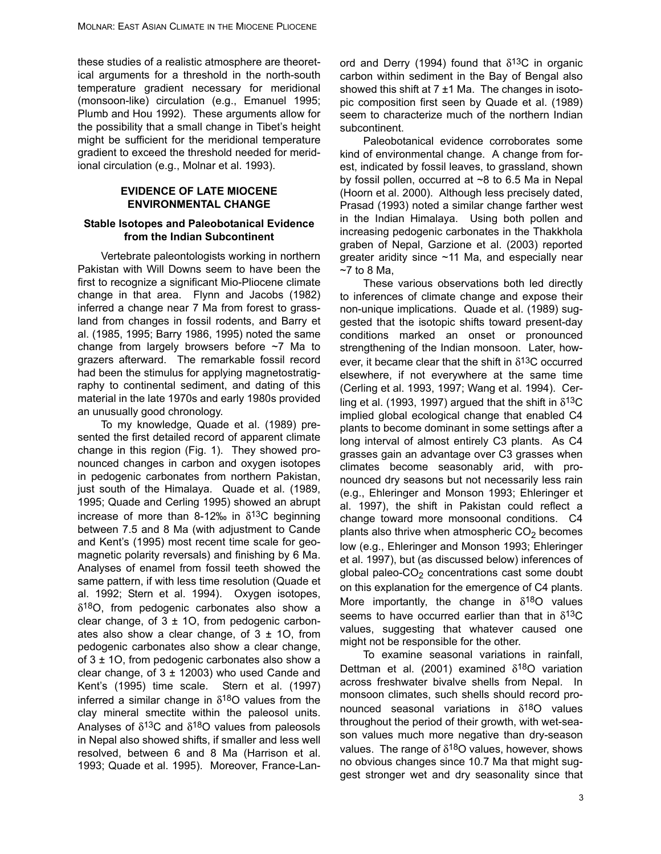these studies of a realistic atmosphere are theoretical arguments for a threshold in the north-south temperature gradient necessary for meridional (monsoon-like) circulation (e.g., Emanuel 1995; Plumb and Hou 1992). These arguments allow for the possibility that a small change in Tibet's height might be sufficient for the meridional temperature gradient to exceed the threshold needed for meridional circulation (e.g., Molnar et al. 1993).

#### **EVIDENCE OF LATE MIOCENE ENVIRONMENTAL CHANGE**

#### **Stable Isotopes and Paleobotanical Evidence from the Indian Subcontinent**

Vertebrate paleontologists working in northern Pakistan with Will Downs seem to have been the first to recognize a significant Mio-Pliocene climate change in that area. Flynn and Jacobs (1982) inferred a change near 7 Ma from forest to grassland from changes in fossil rodents, and Barry et al. (1985, 1995; Barry 1986, 1995) noted the same change from largely browsers before ~7 Ma to grazers afterward. The remarkable fossil record had been the stimulus for applying magnetostratigraphy to continental sediment, and dating of this material in the late 1970s and early 1980s provided an unusually good chronology.

To my knowledge, Quade et al. (1989) presented the first detailed record of apparent climate change in this region (Fig. 1). They showed pronounced changes in carbon and oxygen isotopes in pedogenic carbonates from northern Pakistan, just south of the Himalaya. Quade et al. (1989, 1995; Quade and Cerling 1995) showed an abrupt increase of more than 8-12‰ in  $\delta^{13}$ C beginning between 7.5 and 8 Ma (with adjustment to Cande and Kent's (1995) most recent time scale for geomagnetic polarity reversals) and finishing by 6 Ma. Analyses of enamel from fossil teeth showed the same pattern, if with less time resolution (Quade et al. 1992; Stern et al. 1994). Oxygen isotopes,  $\delta^{18}$ O, from pedogenic carbonates also show a clear change, of  $3 \pm 10$ , from pedogenic carbonates also show a clear change, of  $3 \pm 10$ , from pedogenic carbonates also show a clear change, of  $3 \pm 10$ , from pedogenic carbonates also show a clear change, of  $3 \pm 12003$ ) who used Cande and Kent's (1995) time scale. Stern et al. (1997) inferred a similar change in  $\delta^{18}O$  values from the clay mineral smectite within the paleosol units. Analyses of  $\delta^{13}$ C and  $\delta^{18}$ O values from paleosols in Nepal also showed shifts, if smaller and less well resolved, between 6 and 8 Ma (Harrison et al. 1993; Quade et al. 1995). Moreover, France-Lanord and Derry (1994) found that  $\delta^{13}$ C in organic carbon within sediment in the Bay of Bengal also showed this shift at  $7 \pm 1$  Ma. The changes in isotopic composition first seen by Quade et al. (1989) seem to characterize much of the northern Indian subcontinent.

Paleobotanical evidence corroborates some kind of environmental change. A change from forest, indicated by fossil leaves, to grassland, shown by fossil pollen, occurred at ~8 to 6.5 Ma in Nepal (Hoorn et al. 2000). Although less precisely dated, Prasad (1993) noted a similar change farther west in the Indian Himalaya. Using both pollen and increasing pedogenic carbonates in the Thakkhola graben of Nepal, Garzione et al. (2003) reported greater aridity since ~11 Ma, and especially near  $~\sim$ 7 to 8 Ma.

These various observations both led directly to inferences of climate change and expose their non-unique implications. Quade et al. (1989) suggested that the isotopic shifts toward present-day conditions marked an onset or pronounced strengthening of the Indian monsoon. Later, however, it became clear that the shift in  $\delta^{13}$ C occurred elsewhere, if not everywhere at the same time (Cerling et al. 1993, 1997; Wang et al. 1994). Cerling et al. (1993, 1997) argued that the shift in  $\delta^{13}C$ implied global ecological change that enabled C4 plants to become dominant in some settings after a long interval of almost entirely C3 plants. As C4 grasses gain an advantage over C3 grasses when climates become seasonably arid, with pronounced dry seasons but not necessarily less rain (e.g., Ehleringer and Monson 1993; Ehleringer et al. 1997), the shift in Pakistan could reflect a change toward more monsoonal conditions. C4 plants also thrive when atmospheric  $CO<sub>2</sub>$  becomes low (e.g., Ehleringer and Monson 1993; Ehleringer et al. 1997), but (as discussed below) inferences of global paleo- $CO<sub>2</sub>$  concentrations cast some doubt on this explanation for the emergence of C4 plants. More importantly, the change in  $\delta^{18}O$  values seems to have occurred earlier than that in  $\delta^{13}C$ values, suggesting that whatever caused one might not be responsible for the other.

To examine seasonal variations in rainfall, Dettman et al. (2001) examined  $\delta^{18}O$  variation across freshwater bivalve shells from Nepal. In monsoon climates, such shells should record pronounced seasonal variations in  $\delta^{18}$ O values throughout the period of their growth, with wet-season values much more negative than dry-season values. The range of  $\delta^{18}$ O values, however, shows no obvious changes since 10.7 Ma that might suggest stronger wet and dry seasonality since that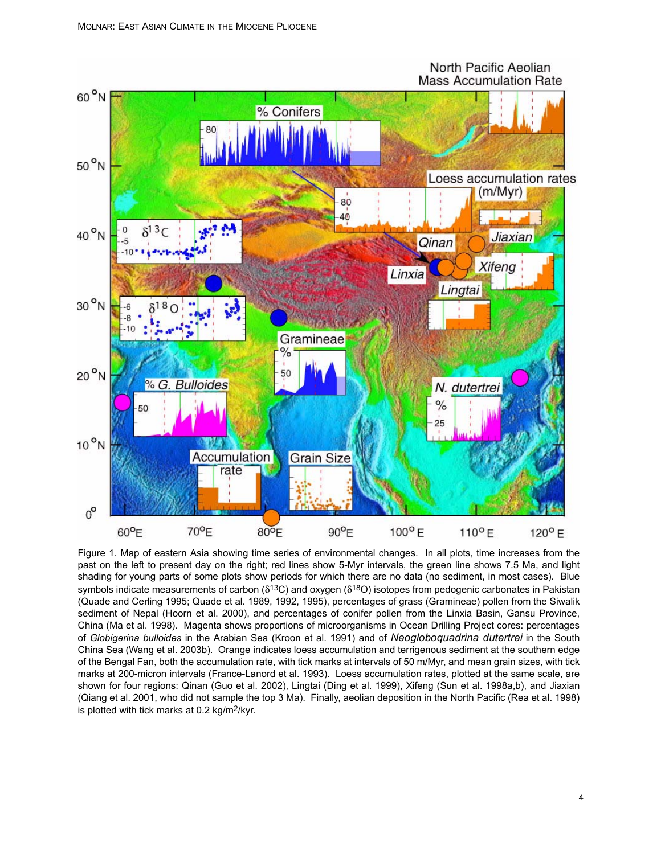## North Pacific Aeolian **Mass Accumulation Rate**



Figure 1. Map of eastern Asia showing time series of environmental changes. In all plots, time increases from the past on the left to present day on the right; red lines show 5-Myr intervals, the green line shows 7.5 Ma, and light shading for young parts of some plots show periods for which there are no data (no sediment, in most cases). Blue symbols indicate measurements of carbon ( $\delta^{13}C$ ) and oxygen ( $\delta^{18}O$ ) isotopes from pedogenic carbonates in Pakistan (Quade and Cerling 1995; Quade et al. 1989, 1992, 1995), percentages of grass (Gramineae) pollen from the Siwalik sediment of Nepal (Hoorn et al. 2000), and percentages of conifer pollen from the Linxia Basin, Gansu Province, China (Ma et al. 1998). Magenta shows proportions of microorganisms in Ocean Drilling Project cores: percentages of *Globigerina bulloides* in the Arabian Sea (Kroon et al. 1991) and of *Neogloboquadrina dutertrei* in the South China Sea (Wang et al. 2003b). Orange indicates loess accumulation and terrigenous sediment at the southern edge of the Bengal Fan, both the accumulation rate, with tick marks at intervals of 50 m/Myr, and mean grain sizes, with tick marks at 200-micron intervals (France-Lanord et al. 1993). Loess accumulation rates, plotted at the same scale, are shown for four regions: Qinan (Guo et al. 2002), Lingtai (Ding et al. 1999), Xifeng (Sun et al. 1998a,b), and Jiaxian (Qiang et al. 2001, who did not sample the top 3 Ma). Finally, aeolian deposition in the North Pacific (Rea et al. 1998) is plotted with tick marks at 0.2 kg/m2/kyr.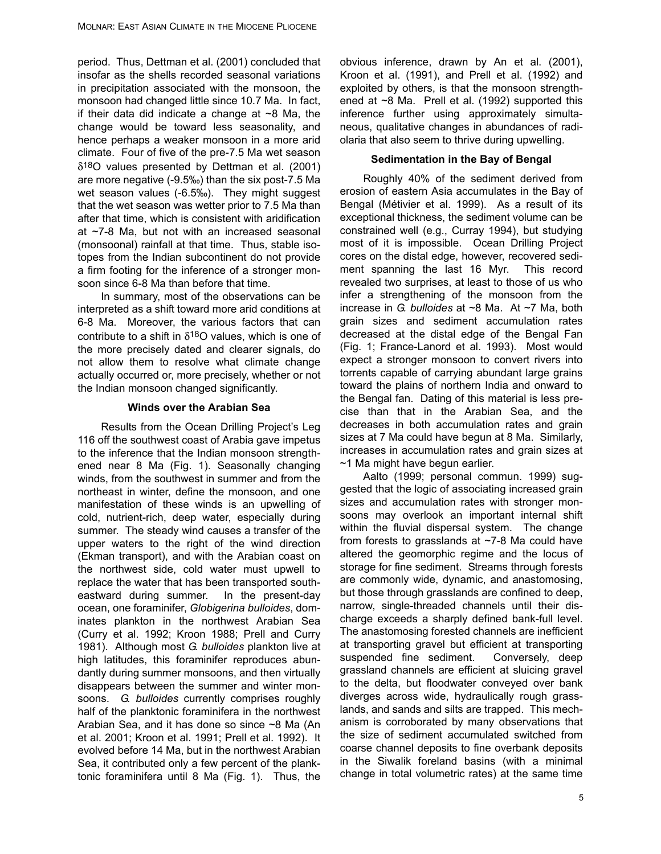period. Thus, Dettman et al. (2001) concluded that insofar as the shells recorded seasonal variations in precipitation associated with the monsoon, the monsoon had changed little since 10.7 Ma. In fact, if their data did indicate a change at  $\sim$ 8 Ma, the change would be toward less seasonality, and hence perhaps a weaker monsoon in a more arid climate. Four of five of the pre-7.5 Ma wet season  $\delta^{18}$ O values presented by Dettman et al. (2001) are more negative (-9.5‰) than the six post-7.5 Ma wet season values (-6.5‰). They might suggest that the wet season was wetter prior to 7.5 Ma than after that time, which is consistent with aridification at ~7-8 Ma, but not with an increased seasonal (monsoonal) rainfall at that time. Thus, stable isotopes from the Indian subcontinent do not provide a firm footing for the inference of a stronger monsoon since 6-8 Ma than before that time.

In summary, most of the observations can be interpreted as a shift toward more arid conditions at 6-8 Ma. Moreover, the various factors that can contribute to a shift in  $\delta^{18}O$  values, which is one of the more precisely dated and clearer signals, do not allow them to resolve what climate change actually occurred or, more precisely, whether or not the Indian monsoon changed significantly.

#### **Winds over the Arabian Sea**

Results from the Ocean Drilling Project's Leg 116 off the southwest coast of Arabia gave impetus to the inference that the Indian monsoon strengthened near 8 Ma (Fig. 1). Seasonally changing winds, from the southwest in summer and from the northeast in winter, define the monsoon, and one manifestation of these winds is an upwelling of cold, nutrient-rich, deep water, especially during summer. The steady wind causes a transfer of the upper waters to the right of the wind direction (Ekman transport), and with the Arabian coast on the northwest side, cold water must upwell to replace the water that has been transported southeastward during summer. In the present-day ocean, one foraminifer, *Globigerina bulloides*, dominates plankton in the northwest Arabian Sea (Curry et al. 1992; Kroon 1988; Prell and Curry 1981). Although most *G. bulloides* plankton live at high latitudes, this foraminifer reproduces abundantly during summer monsoons, and then virtually disappears between the summer and winter monsoons. *G. bulloides* currently comprises roughly half of the planktonic foraminifera in the northwest Arabian Sea, and it has done so since ~8 Ma (An et al. 2001; Kroon et al. 1991; Prell et al. 1992). It evolved before 14 Ma, but in the northwest Arabian Sea, it contributed only a few percent of the planktonic foraminifera until 8 Ma (Fig. 1). Thus, the

obvious inference, drawn by An et al. (2001), Kroon et al. (1991), and Prell et al. (1992) and exploited by others, is that the monsoon strengthened at ~8 Ma. Prell et al. (1992) supported this inference further using approximately simultaneous, qualitative changes in abundances of radiolaria that also seem to thrive during upwelling.

#### **Sedimentation in the Bay of Bengal**

Roughly 40% of the sediment derived from erosion of eastern Asia accumulates in the Bay of Bengal (Métivier et al. 1999). As a result of its exceptional thickness, the sediment volume can be constrained well (e.g., Curray 1994), but studying most of it is impossible. Ocean Drilling Project cores on the distal edge, however, recovered sediment spanning the last 16 Myr. This record revealed two surprises, at least to those of us who infer a strengthening of the monsoon from the increase in *G. bulloides* at ~8 Ma. At ~7 Ma, both grain sizes and sediment accumulation rates decreased at the distal edge of the Bengal Fan (Fig. 1; France-Lanord et al. 1993). Most would expect a stronger monsoon to convert rivers into torrents capable of carrying abundant large grains toward the plains of northern India and onward to the Bengal fan. Dating of this material is less precise than that in the Arabian Sea, and the decreases in both accumulation rates and grain sizes at 7 Ma could have begun at 8 Ma. Similarly, increases in accumulation rates and grain sizes at ~1 Ma might have begun earlier.

Aalto (1999; personal commun. 1999) suggested that the logic of associating increased grain sizes and accumulation rates with stronger monsoons may overlook an important internal shift within the fluvial dispersal system. The change from forests to grasslands at ~7-8 Ma could have altered the geomorphic regime and the locus of storage for fine sediment. Streams through forests are commonly wide, dynamic, and anastomosing, but those through grasslands are confined to deep, narrow, single-threaded channels until their discharge exceeds a sharply defined bank-full level. The anastomosing forested channels are inefficient at transporting gravel but efficient at transporting suspended fine sediment. Conversely, deep grassland channels are efficient at sluicing gravel to the delta, but floodwater conveyed over bank diverges across wide, hydraulically rough grasslands, and sands and silts are trapped. This mechanism is corroborated by many observations that the size of sediment accumulated switched from coarse channel deposits to fine overbank deposits in the Siwalik foreland basins (with a minimal change in total volumetric rates) at the same time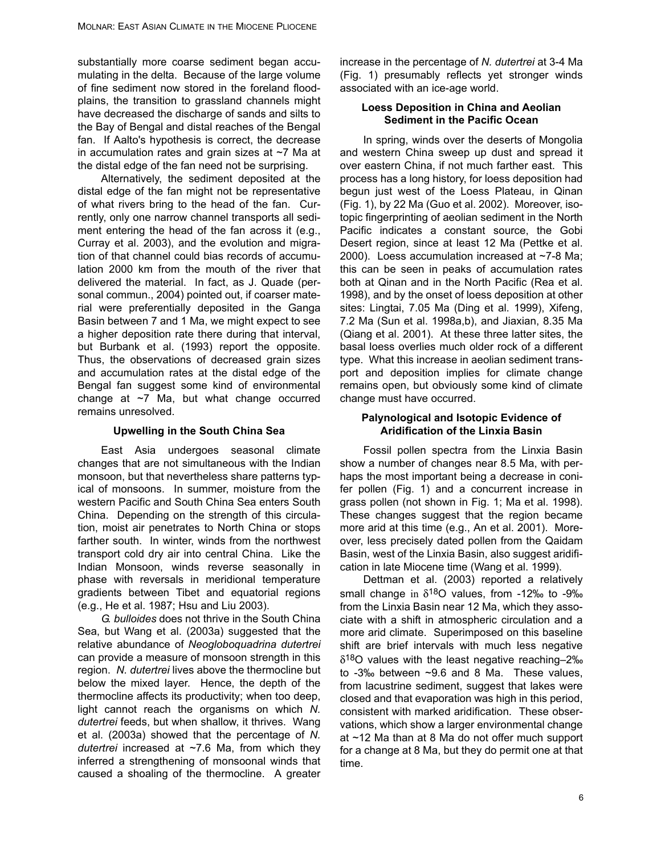substantially more coarse sediment began accumulating in the delta. Because of the large volume of fine sediment now stored in the foreland floodplains, the transition to grassland channels might have decreased the discharge of sands and silts to the Bay of Bengal and distal reaches of the Bengal fan. If Aalto's hypothesis is correct, the decrease in accumulation rates and grain sizes at ~7 Ma at the distal edge of the fan need not be surprising.

Alternatively, the sediment deposited at the distal edge of the fan might not be representative of what rivers bring to the head of the fan. Currently, only one narrow channel transports all sediment entering the head of the fan across it (e.g., Curray et al. 2003), and the evolution and migration of that channel could bias records of accumulation 2000 km from the mouth of the river that delivered the material. In fact, as J. Quade (personal commun., 2004) pointed out, if coarser material were preferentially deposited in the Ganga Basin between 7 and 1 Ma, we might expect to see a higher deposition rate there during that interval, but Burbank et al. (1993) report the opposite. Thus, the observations of decreased grain sizes and accumulation rates at the distal edge of the Bengal fan suggest some kind of environmental change at ~7 Ma, but what change occurred remains unresolved.

## **Upwelling in the South China Sea**

East Asia undergoes seasonal climate changes that are not simultaneous with the Indian monsoon, but that nevertheless share patterns typical of monsoons. In summer, moisture from the western Pacific and South China Sea enters South China. Depending on the strength of this circulation, moist air penetrates to North China or stops farther south. In winter, winds from the northwest transport cold dry air into central China. Like the Indian Monsoon, winds reverse seasonally in phase with reversals in meridional temperature gradients between Tibet and equatorial regions (e.g., He et al. 1987; Hsu and Liu 2003).

*G. bulloides* does not thrive in the South China Sea, but Wang et al. (2003a) suggested that the relative abundance of *Neogloboquadrina dutertrei* can provide a measure of monsoon strength in this region. *N. dutertrei* lives above the thermocline but below the mixed layer. Hence, the depth of the thermocline affects its productivity; when too deep, light cannot reach the organisms on which *N. dutertrei* feeds, but when shallow, it thrives. Wang et al. (2003a) showed that the percentage of *N. dutertrei* increased at ~7.6 Ma, from which they inferred a strengthening of monsoonal winds that caused a shoaling of the thermocline. A greater

increase in the percentage of *N. dutertrei* at 3-4 Ma (Fig. 1) presumably reflects yet stronger winds associated with an ice-age world.

#### **Loess Deposition in China and Aeolian Sediment in the Pacific Ocean**

In spring, winds over the deserts of Mongolia and western China sweep up dust and spread it over eastern China, if not much farther east. This process has a long history, for loess deposition had begun just west of the Loess Plateau, in Qinan (Fig. 1), by 22 Ma (Guo et al. 2002). Moreover, isotopic fingerprinting of aeolian sediment in the North Pacific indicates a constant source, the Gobi Desert region, since at least 12 Ma (Pettke et al. 2000). Loess accumulation increased at ~7-8 Ma; this can be seen in peaks of accumulation rates both at Qinan and in the North Pacific (Rea et al. 1998), and by the onset of loess deposition at other sites: Lingtai, 7.05 Ma (Ding et al. 1999), Xifeng, 7.2 Ma (Sun et al. 1998a,b), and Jiaxian, 8.35 Ma (Qiang et al. 2001). At these three latter sites, the basal loess overlies much older rock of a different type. What this increase in aeolian sediment transport and deposition implies for climate change remains open, but obviously some kind of climate change must have occurred.

## **Palynological and Isotopic Evidence of Aridification of the Linxia Basin**

Fossil pollen spectra from the Linxia Basin show a number of changes near 8.5 Ma, with perhaps the most important being a decrease in conifer pollen (Fig. 1) and a concurrent increase in grass pollen (not shown in Fig. 1; Ma et al. 1998). These changes suggest that the region became more arid at this time (e.g., An et al. 2001). Moreover, less precisely dated pollen from the Qaidam Basin, west of the Linxia Basin, also suggest aridification in late Miocene time (Wang et al. 1999).

Dettman et al. (2003) reported a relatively small change in  $\delta^{18}O$  values, from -12‰ to -9‰ from the Linxia Basin near 12 Ma, which they associate with a shift in atmospheric circulation and a more arid climate. Superimposed on this baseline shift are brief intervals with much less negative δ18O values with the least negative reaching–2‰ to -3‰ between ~9.6 and 8 Ma. These values, from lacustrine sediment, suggest that lakes were closed and that evaporation was high in this period, consistent with marked aridification. These observations, which show a larger environmental change at ~12 Ma than at 8 Ma do not offer much support for a change at 8 Ma, but they do permit one at that time.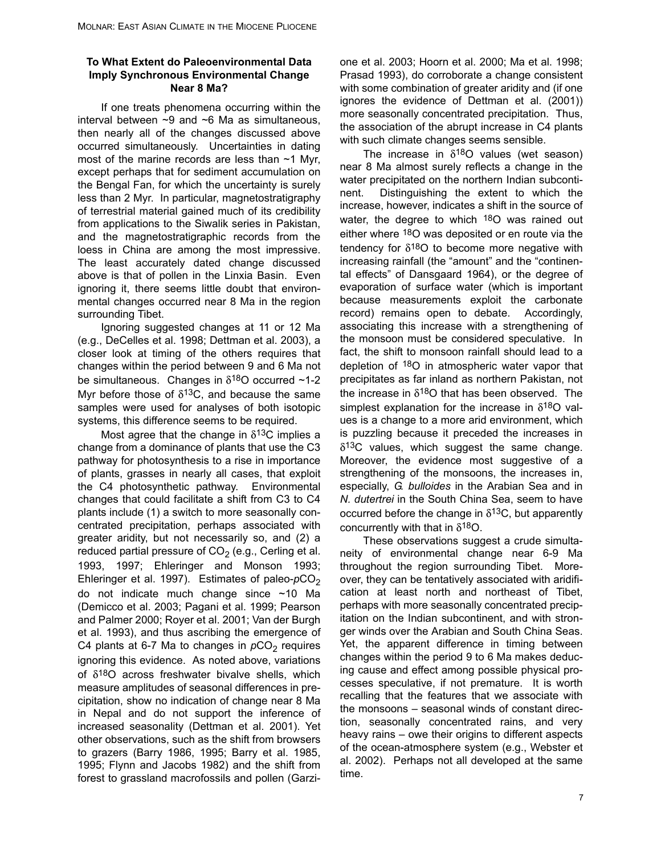#### **To What Extent do Paleoenvironmental Data Imply Synchronous Environmental Change Near 8 Ma?**

If one treats phenomena occurring within the interval between  $\sim$ 9 and  $\sim$ 6 Ma as simultaneous, then nearly all of the changes discussed above occurred simultaneously. Uncertainties in dating most of the marine records are less than ~1 Myr, except perhaps that for sediment accumulation on the Bengal Fan, for which the uncertainty is surely less than 2 Myr. In particular, magnetostratigraphy of terrestrial material gained much of its credibility from applications to the Siwalik series in Pakistan, and the magnetostratigraphic records from the loess in China are among the most impressive. The least accurately dated change discussed above is that of pollen in the Linxia Basin. Even ignoring it, there seems little doubt that environmental changes occurred near 8 Ma in the region surrounding Tibet.

Ignoring suggested changes at 11 or 12 Ma (e.g., DeCelles et al. 1998; Dettman et al. 2003), a closer look at timing of the others requires that changes within the period between 9 and 6 Ma not be simultaneous. Changes in  $\delta^{18}$ O occurred ~1-2 Myr before those of  $\delta^{13}$ C, and because the same samples were used for analyses of both isotopic systems, this difference seems to be required.

Most agree that the change in  $\delta^{13}$ C implies a change from a dominance of plants that use the C3 pathway for photosynthesis to a rise in importance of plants, grasses in nearly all cases, that exploit the C4 photosynthetic pathway. Environmental changes that could facilitate a shift from C3 to C4 plants include (1) a switch to more seasonally concentrated precipitation, perhaps associated with greater aridity, but not necessarily so, and (2) a reduced partial pressure of  $CO<sub>2</sub>$  (e.g., Cerling et al. 1993, 1997; Ehleringer and Monson 1993; Ehleringer et al. 1997). Estimates of paleo-pCO<sub>2</sub> do not indicate much change since ~10 Ma (Demicco et al. 2003; Pagani et al. 1999; Pearson and Palmer 2000; Royer et al. 2001; Van der Burgh et al. 1993), and thus ascribing the emergence of C4 plants at 6-7 Ma to changes in  $pCO<sub>2</sub>$  requires ignoring this evidence. As noted above, variations of  $\delta^{18}$ O across freshwater bivalve shells, which measure amplitudes of seasonal differences in precipitation, show no indication of change near 8 Ma in Nepal and do not support the inference of increased seasonality (Dettman et al. 2001). Yet other observations, such as the shift from browsers to grazers (Barry 1986, 1995; Barry et al. 1985, 1995; Flynn and Jacobs 1982) and the shift from forest to grassland macrofossils and pollen (Garzione et al. 2003; Hoorn et al. 2000; Ma et al. 1998; Prasad 1993), do corroborate a change consistent with some combination of greater aridity and (if one ignores the evidence of Dettman et al. (2001)) more seasonally concentrated precipitation. Thus, the association of the abrupt increase in C4 plants with such climate changes seems sensible.

The increase in  $\delta^{18}O$  values (wet season) near 8 Ma almost surely reflects a change in the water precipitated on the northern Indian subcontinent. Distinguishing the extent to which the increase, however, indicates a shift in the source of water, the degree to which 18O was rained out either where 18O was deposited or en route via the tendency for  $\delta^{18}O$  to become more negative with increasing rainfall (the "amount" and the "continental effects" of Dansgaard 1964), or the degree of evaporation of surface water (which is important because measurements exploit the carbonate record) remains open to debate. Accordingly, associating this increase with a strengthening of the monsoon must be considered speculative. In fact, the shift to monsoon rainfall should lead to a depletion of 18O in atmospheric water vapor that precipitates as far inland as northern Pakistan, not the increase in  $\delta^{18}O$  that has been observed. The simplest explanation for the increase in  $\delta^{18}O$  values is a change to a more arid environment, which is puzzling because it preceded the increases in  $\delta^{13}$ C values, which suggest the same change. Moreover, the evidence most suggestive of a strengthening of the monsoons, the increases in, especially, *G. bulloides* in the Arabian Sea and in *N. dutertrei* in the South China Sea, seem to have occurred before the change in  $\delta^{13}$ C, but apparently concurrently with that in  $\delta^{18}O$ .

These observations suggest a crude simultaneity of environmental change near 6-9 Ma throughout the region surrounding Tibet. Moreover, they can be tentatively associated with aridification at least north and northeast of Tibet, perhaps with more seasonally concentrated precipitation on the Indian subcontinent, and with stronger winds over the Arabian and South China Seas. Yet, the apparent difference in timing between changes within the period 9 to 6 Ma makes deducing cause and effect among possible physical processes speculative, if not premature. It is worth recalling that the features that we associate with the monsoons – seasonal winds of constant direction, seasonally concentrated rains, and very heavy rains – owe their origins to different aspects of the ocean-atmosphere system (e.g., Webster et al. 2002). Perhaps not all developed at the same time.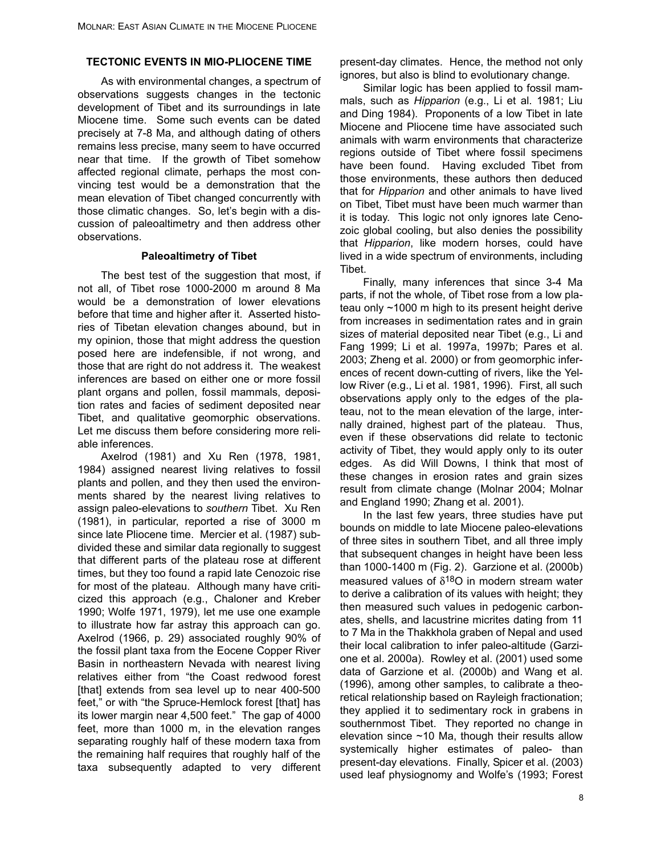## **TECTONIC EVENTS IN MIO-PLIOCENE TIME**

As with environmental changes, a spectrum of observations suggests changes in the tectonic development of Tibet and its surroundings in late Miocene time. Some such events can be dated precisely at 7-8 Ma, and although dating of others remains less precise, many seem to have occurred near that time. If the growth of Tibet somehow affected regional climate, perhaps the most convincing test would be a demonstration that the mean elevation of Tibet changed concurrently with those climatic changes. So, let's begin with a discussion of paleoaltimetry and then address other observations.

#### **Paleoaltimetry of Tibet**

The best test of the suggestion that most, if not all, of Tibet rose 1000-2000 m around 8 Ma would be a demonstration of lower elevations before that time and higher after it. Asserted histories of Tibetan elevation changes abound, but in my opinion, those that might address the question posed here are indefensible, if not wrong, and those that are right do not address it. The weakest inferences are based on either one or more fossil plant organs and pollen, fossil mammals, deposition rates and facies of sediment deposited near Tibet, and qualitative geomorphic observations. Let me discuss them before considering more reliable inferences.

Axelrod (1981) and Xu Ren (1978, 1981, 1984) assigned nearest living relatives to fossil plants and pollen, and they then used the environments shared by the nearest living relatives to assign paleo-elevations to *southern* Tibet. Xu Ren (1981), in particular, reported a rise of 3000 m since late Pliocene time. Mercier et al. (1987) subdivided these and similar data regionally to suggest that different parts of the plateau rose at different times, but they too found a rapid late Cenozoic rise for most of the plateau. Although many have criticized this approach (e.g., Chaloner and Kreber 1990; Wolfe 1971, 1979), let me use one example to illustrate how far astray this approach can go. Axelrod (1966, p. 29) associated roughly 90% of the fossil plant taxa from the Eocene Copper River Basin in northeastern Nevada with nearest living relatives either from "the Coast redwood forest [that] extends from sea level up to near 400-500 feet," or with "the Spruce-Hemlock forest [that] has its lower margin near 4,500 feet." The gap of 4000 feet, more than 1000 m, in the elevation ranges separating roughly half of these modern taxa from the remaining half requires that roughly half of the taxa subsequently adapted to very different present-day climates. Hence, the method not only ignores, but also is blind to evolutionary change.

Similar logic has been applied to fossil mammals, such as *Hipparion* (e.g., Li et al. 1981; Liu and Ding 1984). Proponents of a low Tibet in late Miocene and Pliocene time have associated such animals with warm environments that characterize regions outside of Tibet where fossil specimens have been found. Having excluded Tibet from those environments, these authors then deduced that for *Hipparion* and other animals to have lived on Tibet, Tibet must have been much warmer than it is today. This logic not only ignores late Cenozoic global cooling, but also denies the possibility that *Hipparion*, like modern horses, could have lived in a wide spectrum of environments, including Tibet.

Finally, many inferences that since 3-4 Ma parts, if not the whole, of Tibet rose from a low plateau only ~1000 m high to its present height derive from increases in sedimentation rates and in grain sizes of material deposited near Tibet (e.g., Li and Fang 1999; Li et al. 1997a, 1997b; Pares et al. 2003; Zheng et al. 2000) or from geomorphic inferences of recent down-cutting of rivers, like the Yellow River (e.g., Li et al. 1981, 1996). First, all such observations apply only to the edges of the plateau, not to the mean elevation of the large, internally drained, highest part of the plateau. Thus, even if these observations did relate to tectonic activity of Tibet, they would apply only to its outer edges. As did Will Downs, I think that most of these changes in erosion rates and grain sizes result from climate change (Molnar 2004; Molnar and England 1990; Zhang et al. 2001).

In the last few years, three studies have put bounds on middle to late Miocene paleo-elevations of three sites in southern Tibet, and all three imply that subsequent changes in height have been less than 1000-1400 m (Fig. 2). Garzione et al. (2000b) measured values of  $\delta^{18}O$  in modern stream water to derive a calibration of its values with height; they then measured such values in pedogenic carbonates, shells, and lacustrine micrites dating from 11 to 7 Ma in the Thakkhola graben of Nepal and used their local calibration to infer paleo-altitude (Garzione et al. 2000a). Rowley et al. (2001) used some data of Garzione et al. (2000b) and Wang et al. (1996), among other samples, to calibrate a theoretical relationship based on Rayleigh fractionation; they applied it to sedimentary rock in grabens in southernmost Tibet. They reported no change in elevation since  $~10$  Ma, though their results allow systemically higher estimates of paleo- than present-day elevations. Finally, Spicer et al. (2003) used leaf physiognomy and Wolfe's (1993; Forest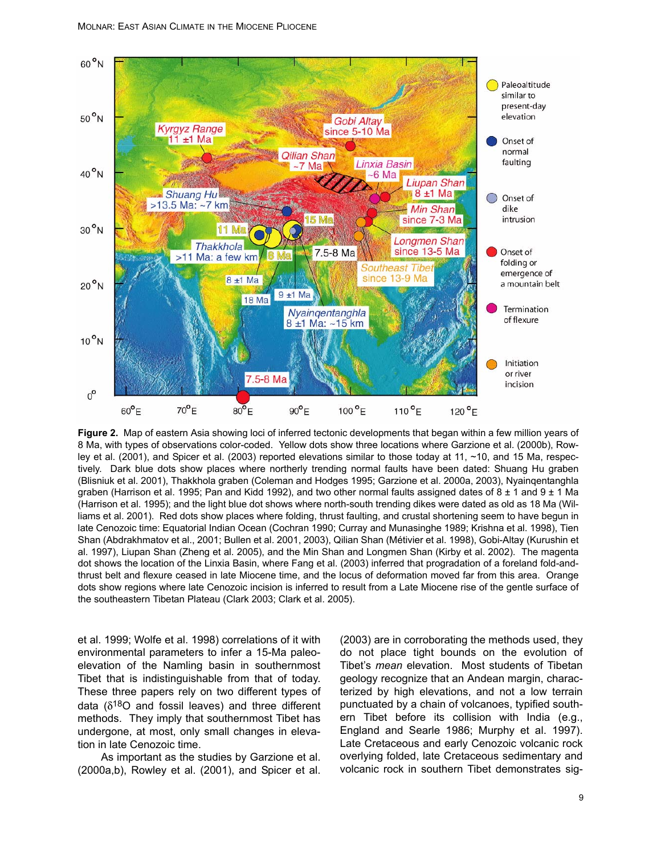

**Figure 2.** Map of eastern Asia showing loci of inferred tectonic developments that began within a few million years of 8 Ma, with types of observations color-coded. Yellow dots show three locations where Garzione et al. (2000b), Rowley et al. (2001), and Spicer et al. (2003) reported elevations similar to those today at 11, ~10, and 15 Ma, respectively. Dark blue dots show places where northerly trending normal faults have been dated: Shuang Hu graben (Blisniuk et al. 2001), Thakkhola graben (Coleman and Hodges 1995; Garzione et al. 2000a, 2003), Nyainqentanghla graben (Harrison et al. 1995; Pan and Kidd 1992), and two other normal faults assigned dates of  $8 \pm 1$  and  $9 \pm 1$  Ma (Harrison et al. 1995); and the light blue dot shows where north-south trending dikes were dated as old as 18 Ma (Williams et al. 2001). Red dots show places where folding, thrust faulting, and crustal shortening seem to have begun in late Cenozoic time: Equatorial Indian Ocean (Cochran 1990; Curray and Munasinghe 1989; Krishna et al. 1998), Tien Shan (Abdrakhmatov et al., 2001; Bullen et al. 2001, 2003), Qilian Shan (Métivier et al. 1998), Gobi-Altay (Kurushin et al. 1997), Liupan Shan (Zheng et al. 2005), and the Min Shan and Longmen Shan (Kirby et al. 2002). The magenta dot shows the location of the Linxia Basin, where Fang et al. (2003) inferred that progradation of a foreland fold-andthrust belt and flexure ceased in late Miocene time, and the locus of deformation moved far from this area. Orange dots show regions where late Cenozoic incision is inferred to result from a Late Miocene rise of the gentle surface of the southeastern Tibetan Plateau (Clark 2003; Clark et al. 2005).

et al. 1999; Wolfe et al. 1998) correlations of it with environmental parameters to infer a 15-Ma paleoelevation of the Namling basin in southernmost Tibet that is indistinguishable from that of today. These three papers rely on two different types of data  $(\delta^{18}O$  and fossil leaves) and three different methods. They imply that southernmost Tibet has undergone, at most, only small changes in elevation in late Cenozoic time.

As important as the studies by Garzione et al. (2000a,b), Rowley et al. (2001), and Spicer et al.

(2003) are in corroborating the methods used, they do not place tight bounds on the evolution of Tibet's *mean* elevation. Most students of Tibetan geology recognize that an Andean margin, characterized by high elevations, and not a low terrain punctuated by a chain of volcanoes, typified southern Tibet before its collision with India (e.g., England and Searle 1986; Murphy et al. 1997). Late Cretaceous and early Cenozoic volcanic rock overlying folded, late Cretaceous sedimentary and volcanic rock in southern Tibet demonstrates sig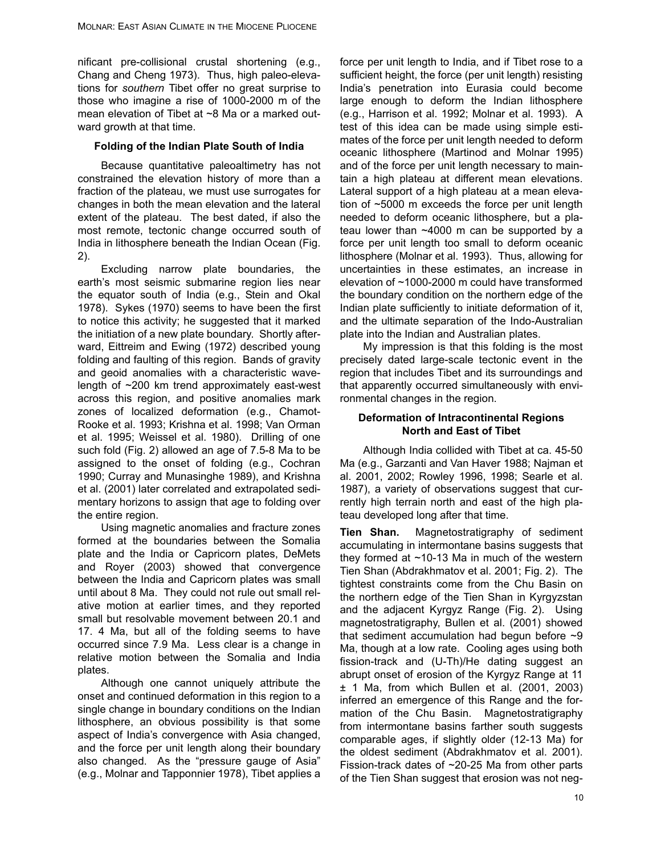nificant pre-collisional crustal shortening (e.g., Chang and Cheng 1973). Thus, high paleo-elevations for *southern* Tibet offer no great surprise to those who imagine a rise of 1000-2000 m of the mean elevation of Tibet at ~8 Ma or a marked outward growth at that time.

#### **Folding of the Indian Plate South of India**

Because quantitative paleoaltimetry has not constrained the elevation history of more than a fraction of the plateau, we must use surrogates for changes in both the mean elevation and the lateral extent of the plateau. The best dated, if also the most remote, tectonic change occurred south of India in lithosphere beneath the Indian Ocean (Fig. 2).

Excluding narrow plate boundaries, the earth's most seismic submarine region lies near the equator south of India (e.g., Stein and Okal 1978). Sykes (1970) seems to have been the first to notice this activity; he suggested that it marked the initiation of a new plate boundary. Shortly afterward, Eittreim and Ewing (1972) described young folding and faulting of this region. Bands of gravity and geoid anomalies with a characteristic wavelength of ~200 km trend approximately east-west across this region, and positive anomalies mark zones of localized deformation (e.g., Chamot-Rooke et al. 1993; Krishna et al. 1998; Van Orman et al. 1995; Weissel et al. 1980). Drilling of one such fold (Fig. 2) allowed an age of 7.5-8 Ma to be assigned to the onset of folding (e.g., Cochran 1990; Curray and Munasinghe 1989), and Krishna et al. (2001) later correlated and extrapolated sedimentary horizons to assign that age to folding over the entire region.

Using magnetic anomalies and fracture zones formed at the boundaries between the Somalia plate and the India or Capricorn plates, DeMets and Royer (2003) showed that convergence between the India and Capricorn plates was small until about 8 Ma. They could not rule out small relative motion at earlier times, and they reported small but resolvable movement between 20.1 and 17. 4 Ma, but all of the folding seems to have occurred since 7.9 Ma. Less clear is a change in relative motion between the Somalia and India plates.

Although one cannot uniquely attribute the onset and continued deformation in this region to a single change in boundary conditions on the Indian lithosphere, an obvious possibility is that some aspect of India's convergence with Asia changed, and the force per unit length along their boundary also changed. As the "pressure gauge of Asia" (e.g., Molnar and Tapponnier 1978), Tibet applies a

force per unit length to India, and if Tibet rose to a sufficient height, the force (per unit length) resisting India's penetration into Eurasia could become large enough to deform the Indian lithosphere (e.g., Harrison et al. 1992; Molnar et al. 1993). A test of this idea can be made using simple estimates of the force per unit length needed to deform oceanic lithosphere (Martinod and Molnar 1995) and of the force per unit length necessary to maintain a high plateau at different mean elevations. Lateral support of a high plateau at a mean elevation of ~5000 m exceeds the force per unit length needed to deform oceanic lithosphere, but a plateau lower than ~4000 m can be supported by a force per unit length too small to deform oceanic lithosphere (Molnar et al. 1993). Thus, allowing for uncertainties in these estimates, an increase in elevation of ~1000-2000 m could have transformed the boundary condition on the northern edge of the Indian plate sufficiently to initiate deformation of it, and the ultimate separation of the Indo-Australian plate into the Indian and Australian plates.

My impression is that this folding is the most precisely dated large-scale tectonic event in the region that includes Tibet and its surroundings and that apparently occurred simultaneously with environmental changes in the region.

## **Deformation of Intracontinental Regions North and East of Tibet**

Although India collided with Tibet at ca. 45-50 Ma (e.g., Garzanti and Van Haver 1988; Najman et al. 2001, 2002; Rowley 1996, 1998; Searle et al. 1987), a variety of observations suggest that currently high terrain north and east of the high plateau developed long after that time.

**Tien Shan.** Magnetostratigraphy of sediment accumulating in intermontane basins suggests that they formed at  $~10-13$  Ma in much of the western Tien Shan (Abdrakhmatov et al. 2001; Fig. 2). The tightest constraints come from the Chu Basin on the northern edge of the Tien Shan in Kyrgyzstan and the adjacent Kyrgyz Range (Fig. 2). Using magnetostratigraphy, Bullen et al. (2001) showed that sediment accumulation had begun before ~9 Ma, though at a low rate. Cooling ages using both fission-track and (U-Th)/He dating suggest an abrupt onset of erosion of the Kyrgyz Range at 11 ± 1 Ma, from which Bullen et al. (2001, 2003) inferred an emergence of this Range and the formation of the Chu Basin. Magnetostratigraphy from intermontane basins farther south suggests comparable ages, if slightly older (12-13 Ma) for the oldest sediment (Abdrakhmatov et al. 2001). Fission-track dates of ~20-25 Ma from other parts of the Tien Shan suggest that erosion was not neg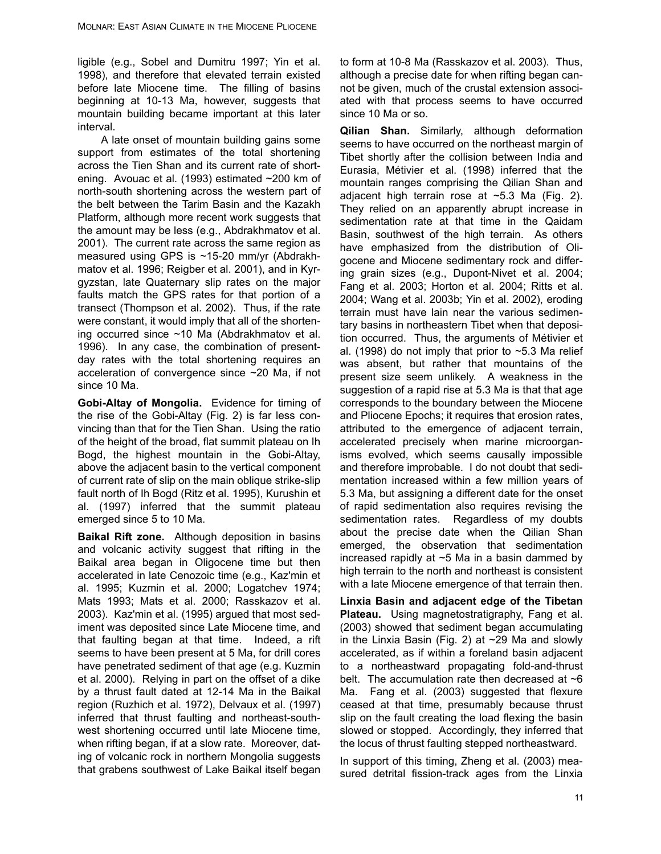ligible (e.g., Sobel and Dumitru 1997; Yin et al. 1998), and therefore that elevated terrain existed before late Miocene time. The filling of basins beginning at 10-13 Ma, however, suggests that mountain building became important at this later interval.

A late onset of mountain building gains some support from estimates of the total shortening across the Tien Shan and its current rate of shortening. Avouac et al. (1993) estimated ~200 km of north-south shortening across the western part of the belt between the Tarim Basin and the Kazakh Platform, although more recent work suggests that the amount may be less (e.g., Abdrakhmatov et al. 2001). The current rate across the same region as measured using GPS is ~15-20 mm/yr (Abdrakhmatov et al. 1996; Reigber et al. 2001), and in Kyrgyzstan, late Quaternary slip rates on the major faults match the GPS rates for that portion of a transect (Thompson et al. 2002). Thus, if the rate were constant, it would imply that all of the shortening occurred since ~10 Ma (Abdrakhmatov et al. 1996). In any case, the combination of presentday rates with the total shortening requires an acceleration of convergence since ~20 Ma, if not since 10 Ma.

**Gobi-Altay of Mongolia.** Evidence for timing of the rise of the Gobi-Altay (Fig. 2) is far less convincing than that for the Tien Shan. Using the ratio of the height of the broad, flat summit plateau on Ih Bogd, the highest mountain in the Gobi-Altay, above the adjacent basin to the vertical component of current rate of slip on the main oblique strike-slip fault north of Ih Bogd (Ritz et al. 1995), Kurushin et al. (1997) inferred that the summit plateau emerged since 5 to 10 Ma.

**Baikal Rift zone.** Although deposition in basins and volcanic activity suggest that rifting in the Baikal area began in Oligocene time but then accelerated in late Cenozoic time (e.g., Kaz'min et al. 1995; Kuzmin et al. 2000; Logatchev 1974; Mats 1993; Mats et al. 2000; Rasskazov et al. 2003). Kaz'min et al. (1995) argued that most sediment was deposited since Late Miocene time, and that faulting began at that time. Indeed, a rift seems to have been present at 5 Ma, for drill cores have penetrated sediment of that age (e.g. Kuzmin et al. 2000). Relying in part on the offset of a dike by a thrust fault dated at 12-14 Ma in the Baikal region (Ruzhich et al. 1972), Delvaux et al. (1997) inferred that thrust faulting and northeast-southwest shortening occurred until late Miocene time, when rifting began, if at a slow rate. Moreover, dating of volcanic rock in northern Mongolia suggests that grabens southwest of Lake Baikal itself began

to form at 10-8 Ma (Rasskazov et al. 2003). Thus, although a precise date for when rifting began cannot be given, much of the crustal extension associated with that process seems to have occurred since 10 Ma or so.

**Qilian Shan.** Similarly, although deformation seems to have occurred on the northeast margin of Tibet shortly after the collision between India and Eurasia, Métivier et al. (1998) inferred that the mountain ranges comprising the Qilian Shan and adjacent high terrain rose at ~5.3 Ma (Fig. 2). They relied on an apparently abrupt increase in sedimentation rate at that time in the Qaidam Basin, southwest of the high terrain. As others have emphasized from the distribution of Oligocene and Miocene sedimentary rock and differing grain sizes (e.g., Dupont-Nivet et al. 2004; Fang et al. 2003; Horton et al. 2004; Ritts et al. 2004; Wang et al. 2003b; Yin et al. 2002), eroding terrain must have lain near the various sedimentary basins in northeastern Tibet when that deposition occurred. Thus, the arguments of Métivier et al. (1998) do not imply that prior to  $\sim$  5.3 Ma relief was absent, but rather that mountains of the present size seem unlikely. A weakness in the suggestion of a rapid rise at 5.3 Ma is that that age corresponds to the boundary between the Miocene and Pliocene Epochs; it requires that erosion rates, attributed to the emergence of adjacent terrain, accelerated precisely when marine microorganisms evolved, which seems causally impossible and therefore improbable. I do not doubt that sedimentation increased within a few million years of 5.3 Ma, but assigning a different date for the onset of rapid sedimentation also requires revising the sedimentation rates. Regardless of my doubts about the precise date when the Qilian Shan emerged, the observation that sedimentation increased rapidly at ~5 Ma in a basin dammed by high terrain to the north and northeast is consistent with a late Miocene emergence of that terrain then.

**Linxia Basin and adjacent edge of the Tibetan Plateau.** Using magnetostratigraphy, Fang et al. (2003) showed that sediment began accumulating in the Linxia Basin (Fig. 2) at  $\sim$  29 Ma and slowly accelerated, as if within a foreland basin adjacent to a northeastward propagating fold-and-thrust belt. The accumulation rate then decreased at  $~6$ Ma. Fang et al. (2003) suggested that flexure ceased at that time, presumably because thrust slip on the fault creating the load flexing the basin slowed or stopped. Accordingly, they inferred that the locus of thrust faulting stepped northeastward.

In support of this timing, Zheng et al. (2003) measured detrital fission-track ages from the Linxia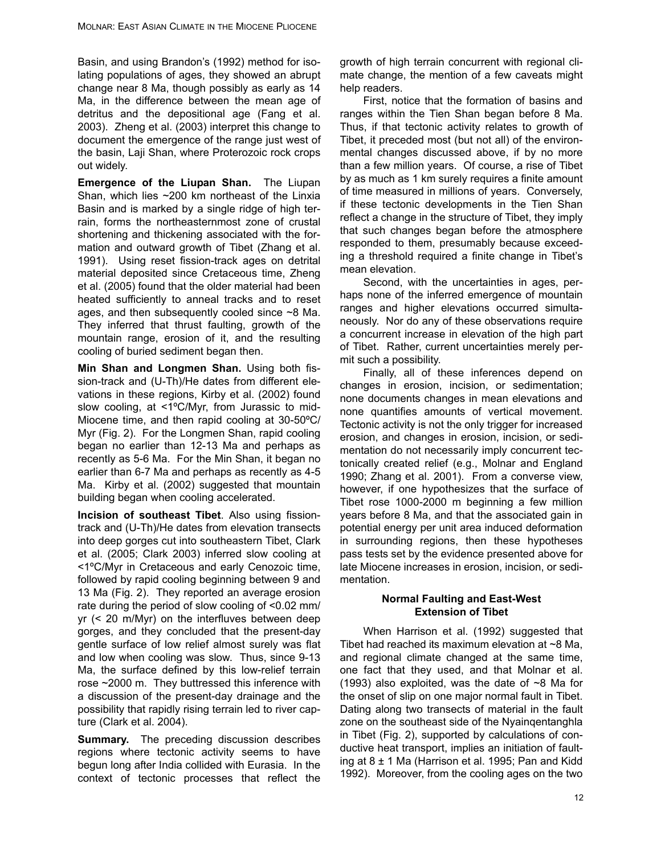Basin, and using Brandon's (1992) method for isolating populations of ages, they showed an abrupt change near 8 Ma, though possibly as early as 14 Ma, in the difference between the mean age of detritus and the depositional age (Fang et al. 2003). Zheng et al. (2003) interpret this change to document the emergence of the range just west of the basin, Laji Shan, where Proterozoic rock crops out widely.

**Emergence of the Liupan Shan.** The Liupan Shan, which lies ~200 km northeast of the Linxia Basin and is marked by a single ridge of high terrain, forms the northeasternmost zone of crustal shortening and thickening associated with the formation and outward growth of Tibet (Zhang et al. 1991). Using reset fission-track ages on detrital material deposited since Cretaceous time, Zheng et al. (2005) found that the older material had been heated sufficiently to anneal tracks and to reset ages, and then subsequently cooled since ~8 Ma. They inferred that thrust faulting, growth of the mountain range, erosion of it, and the resulting cooling of buried sediment began then.

**Min Shan and Longmen Shan.** Using both fission-track and (U-Th)/He dates from different elevations in these regions, Kirby et al. (2002) found slow cooling, at <1ºC/Myr, from Jurassic to mid-Miocene time, and then rapid cooling at 30-50ºC/ Myr (Fig. 2). For the Longmen Shan, rapid cooling began no earlier than 12-13 Ma and perhaps as recently as 5-6 Ma. For the Min Shan, it began no earlier than 6-7 Ma and perhaps as recently as 4-5 Ma. Kirby et al. (2002) suggested that mountain building began when cooling accelerated.

**Incision of southeast Tibet**. Also using fissiontrack and (U-Th)/He dates from elevation transects into deep gorges cut into southeastern Tibet, Clark et al. (2005; Clark 2003) inferred slow cooling at <1ºC/Myr in Cretaceous and early Cenozoic time, followed by rapid cooling beginning between 9 and 13 Ma (Fig. 2). They reported an average erosion rate during the period of slow cooling of <0.02 mm/ yr (< 20 m/Myr) on the interfluves between deep gorges, and they concluded that the present-day gentle surface of low relief almost surely was flat and low when cooling was slow. Thus, since 9-13 Ma, the surface defined by this low-relief terrain rose ~2000 m. They buttressed this inference with a discussion of the present-day drainage and the possibility that rapidly rising terrain led to river capture (Clark et al. 2004).

**Summary.** The preceding discussion describes regions where tectonic activity seems to have begun long after India collided with Eurasia. In the context of tectonic processes that reflect the growth of high terrain concurrent with regional climate change, the mention of a few caveats might help readers.

First, notice that the formation of basins and ranges within the Tien Shan began before 8 Ma. Thus, if that tectonic activity relates to growth of Tibet, it preceded most (but not all) of the environmental changes discussed above, if by no more than a few million years. Of course, a rise of Tibet by as much as 1 km surely requires a finite amount of time measured in millions of years. Conversely, if these tectonic developments in the Tien Shan reflect a change in the structure of Tibet, they imply that such changes began before the atmosphere responded to them, presumably because exceeding a threshold required a finite change in Tibet's mean elevation.

Second, with the uncertainties in ages, perhaps none of the inferred emergence of mountain ranges and higher elevations occurred simultaneously. Nor do any of these observations require a concurrent increase in elevation of the high part of Tibet. Rather, current uncertainties merely permit such a possibility.

Finally, all of these inferences depend on changes in erosion, incision, or sedimentation; none documents changes in mean elevations and none quantifies amounts of vertical movement. Tectonic activity is not the only trigger for increased erosion, and changes in erosion, incision, or sedimentation do not necessarily imply concurrent tectonically created relief (e.g., Molnar and England 1990; Zhang et al. 2001). From a converse view, however, if one hypothesizes that the surface of Tibet rose 1000-2000 m beginning a few million years before 8 Ma, and that the associated gain in potential energy per unit area induced deformation in surrounding regions, then these hypotheses pass tests set by the evidence presented above for late Miocene increases in erosion, incision, or sedimentation.

## **Normal Faulting and East-West Extension of Tibet**

When Harrison et al. (1992) suggested that Tibet had reached its maximum elevation at  $\sim$ 8 Ma, and regional climate changed at the same time, one fact that they used, and that Molnar et al. (1993) also exploited, was the date of  $\sim$ 8 Ma for the onset of slip on one major normal fault in Tibet. Dating along two transects of material in the fault zone on the southeast side of the Nyainqentanghla in Tibet (Fig. 2), supported by calculations of conductive heat transport, implies an initiation of faulting at  $8 \pm 1$  Ma (Harrison et al. 1995; Pan and Kidd 1992). Moreover, from the cooling ages on the two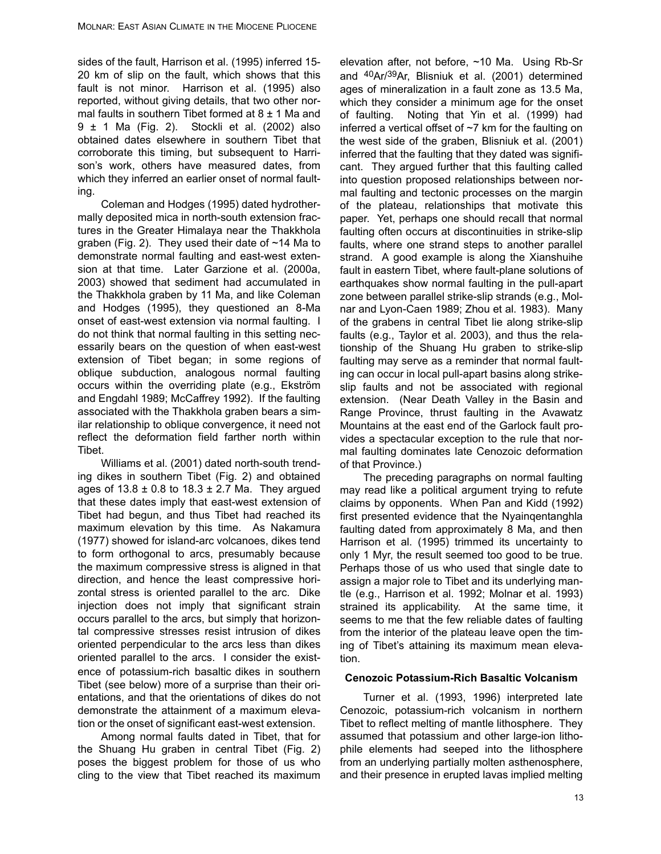sides of the fault, Harrison et al. (1995) inferred 15- 20 km of slip on the fault, which shows that this fault is not minor. Harrison et al. (1995) also reported, without giving details, that two other normal faults in southern Tibet formed at  $8 \pm 1$  Ma and 9 ± 1 Ma (Fig. 2). Stockli et al. (2002) also obtained dates elsewhere in southern Tibet that corroborate this timing, but subsequent to Harrison's work, others have measured dates, from which they inferred an earlier onset of normal faulting.

Coleman and Hodges (1995) dated hydrothermally deposited mica in north-south extension fractures in the Greater Himalaya near the Thakkhola graben (Fig. 2). They used their date of ~14 Ma to demonstrate normal faulting and east-west extension at that time. Later Garzione et al. (2000a, 2003) showed that sediment had accumulated in the Thakkhola graben by 11 Ma, and like Coleman and Hodges (1995), they questioned an 8-Ma onset of east-west extension via normal faulting. I do not think that normal faulting in this setting necessarily bears on the question of when east-west extension of Tibet began; in some regions of oblique subduction, analogous normal faulting occurs within the overriding plate (e.g., Ekström and Engdahl 1989; McCaffrey 1992). If the faulting associated with the Thakkhola graben bears a similar relationship to oblique convergence, it need not reflect the deformation field farther north within Tibet.

Williams et al. (2001) dated north-south trending dikes in southern Tibet (Fig. 2) and obtained ages of  $13.8 \pm 0.8$  to  $18.3 \pm 2.7$  Ma. They argued that these dates imply that east-west extension of Tibet had begun, and thus Tibet had reached its maximum elevation by this time. As Nakamura (1977) showed for island-arc volcanoes, dikes tend to form orthogonal to arcs, presumably because the maximum compressive stress is aligned in that direction, and hence the least compressive horizontal stress is oriented parallel to the arc. Dike injection does not imply that significant strain occurs parallel to the arcs, but simply that horizontal compressive stresses resist intrusion of dikes oriented perpendicular to the arcs less than dikes oriented parallel to the arcs. I consider the existence of potassium-rich basaltic dikes in southern Tibet (see below) more of a surprise than their orientations, and that the orientations of dikes do not demonstrate the attainment of a maximum elevation or the onset of significant east-west extension.

Among normal faults dated in Tibet, that for the Shuang Hu graben in central Tibet (Fig. 2) poses the biggest problem for those of us who cling to the view that Tibet reached its maximum

elevation after, not before, ~10 Ma. Using Rb-Sr and 40Ar/39Ar, Blisniuk et al. (2001) determined ages of mineralization in a fault zone as 13.5 Ma, which they consider a minimum age for the onset of faulting. Noting that Yin et al. (1999) had inferred a vertical offset of  $\sim$ 7 km for the faulting on the west side of the graben, Blisniuk et al. (2001) inferred that the faulting that they dated was significant. They argued further that this faulting called into question proposed relationships between normal faulting and tectonic processes on the margin of the plateau, relationships that motivate this paper. Yet, perhaps one should recall that normal faulting often occurs at discontinuities in strike-slip faults, where one strand steps to another parallel strand. A good example is along the Xianshuihe fault in eastern Tibet, where fault-plane solutions of earthquakes show normal faulting in the pull-apart zone between parallel strike-slip strands (e.g., Molnar and Lyon-Caen 1989; Zhou et al. 1983). Many of the grabens in central Tibet lie along strike-slip faults (e.g., Taylor et al. 2003), and thus the relationship of the Shuang Hu graben to strike-slip faulting may serve as a reminder that normal faulting can occur in local pull-apart basins along strikeslip faults and not be associated with regional extension. (Near Death Valley in the Basin and Range Province, thrust faulting in the Avawatz Mountains at the east end of the Garlock fault provides a spectacular exception to the rule that normal faulting dominates late Cenozoic deformation of that Province.)

The preceding paragraphs on normal faulting may read like a political argument trying to refute claims by opponents. When Pan and Kidd (1992) first presented evidence that the Nyainqentanghla faulting dated from approximately 8 Ma, and then Harrison et al. (1995) trimmed its uncertainty to only 1 Myr, the result seemed too good to be true. Perhaps those of us who used that single date to assign a major role to Tibet and its underlying mantle (e.g., Harrison et al. 1992; Molnar et al. 1993) strained its applicability. At the same time, it seems to me that the few reliable dates of faulting from the interior of the plateau leave open the timing of Tibet's attaining its maximum mean elevation.

#### **Cenozoic Potassium-Rich Basaltic Volcanism**

Turner et al. (1993, 1996) interpreted late Cenozoic, potassium-rich volcanism in northern Tibet to reflect melting of mantle lithosphere. They assumed that potassium and other large-ion lithophile elements had seeped into the lithosphere from an underlying partially molten asthenosphere, and their presence in erupted lavas implied melting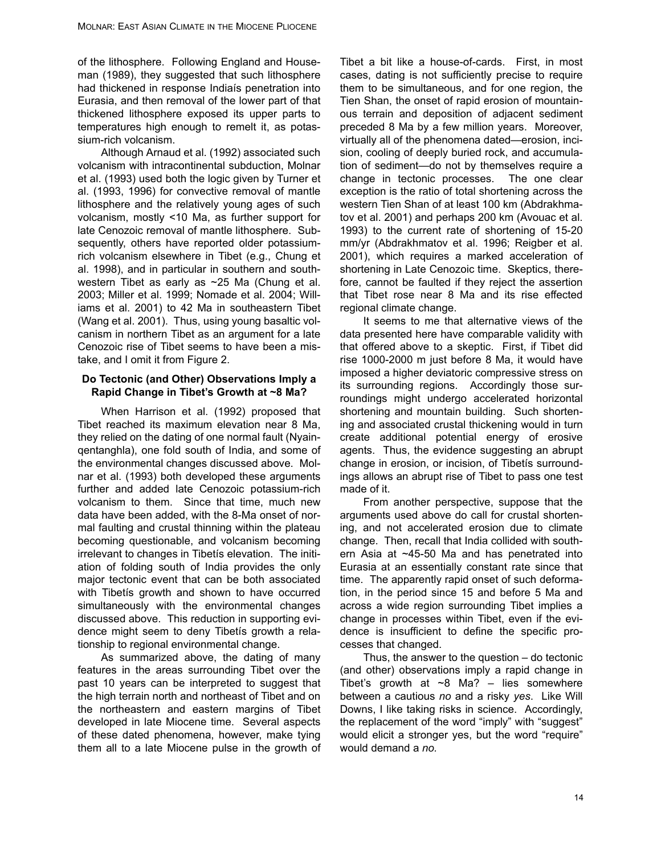of the lithosphere. Following England and Houseman (1989), they suggested that such lithosphere had thickened in response Indiaís penetration into Eurasia, and then removal of the lower part of that thickened lithosphere exposed its upper parts to temperatures high enough to remelt it, as potassium-rich volcanism.

Although Arnaud et al. (1992) associated such volcanism with intracontinental subduction, Molnar et al. (1993) used both the logic given by Turner et al. (1993, 1996) for convective removal of mantle lithosphere and the relatively young ages of such volcanism, mostly <10 Ma, as further support for late Cenozoic removal of mantle lithosphere. Subsequently, others have reported older potassiumrich volcanism elsewhere in Tibet (e.g., Chung et al. 1998), and in particular in southern and southwestern Tibet as early as ~25 Ma (Chung et al. 2003; Miller et al. 1999; Nomade et al. 2004; Williams et al. 2001) to 42 Ma in southeastern Tibet (Wang et al. 2001). Thus, using young basaltic volcanism in northern Tibet as an argument for a late Cenozoic rise of Tibet seems to have been a mistake, and I omit it from Figure 2.

### **Do Tectonic (and Other) Observations Imply a Rapid Change in Tibet's Growth at ~8 Ma?**

When Harrison et al. (1992) proposed that Tibet reached its maximum elevation near 8 Ma, they relied on the dating of one normal fault (Nyainqentanghla), one fold south of India, and some of the environmental changes discussed above. Molnar et al. (1993) both developed these arguments further and added late Cenozoic potassium-rich volcanism to them. Since that time, much new data have been added, with the 8-Ma onset of normal faulting and crustal thinning within the plateau becoming questionable, and volcanism becoming irrelevant to changes in Tibetís elevation. The initiation of folding south of India provides the only major tectonic event that can be both associated with Tibetís growth and shown to have occurred simultaneously with the environmental changes discussed above. This reduction in supporting evidence might seem to deny Tibetís growth a relationship to regional environmental change.

As summarized above, the dating of many features in the areas surrounding Tibet over the past 10 years can be interpreted to suggest that the high terrain north and northeast of Tibet and on the northeastern and eastern margins of Tibet developed in late Miocene time. Several aspects of these dated phenomena, however, make tying them all to a late Miocene pulse in the growth of Tibet a bit like a house-of-cards. First, in most cases, dating is not sufficiently precise to require them to be simultaneous, and for one region, the Tien Shan, the onset of rapid erosion of mountainous terrain and deposition of adjacent sediment preceded 8 Ma by a few million years. Moreover, virtually all of the phenomena dated—erosion, incision, cooling of deeply buried rock, and accumulation of sediment—do not by themselves require a change in tectonic processes. The one clear exception is the ratio of total shortening across the western Tien Shan of at least 100 km (Abdrakhmatov et al. 2001) and perhaps 200 km (Avouac et al. 1993) to the current rate of shortening of 15-20 mm/yr (Abdrakhmatov et al. 1996; Reigber et al. 2001), which requires a marked acceleration of shortening in Late Cenozoic time. Skeptics, therefore, cannot be faulted if they reject the assertion that Tibet rose near 8 Ma and its rise effected regional climate change.

It seems to me that alternative views of the data presented here have comparable validity with that offered above to a skeptic. First, if Tibet did rise 1000-2000 m just before 8 Ma, it would have imposed a higher deviatoric compressive stress on its surrounding regions. Accordingly those surroundings might undergo accelerated horizontal shortening and mountain building. Such shortening and associated crustal thickening would in turn create additional potential energy of erosive agents. Thus, the evidence suggesting an abrupt change in erosion, or incision, of Tibetís surroundings allows an abrupt rise of Tibet to pass one test made of it.

From another perspective, suppose that the arguments used above do call for crustal shortening, and not accelerated erosion due to climate change. Then, recall that India collided with southern Asia at ~45-50 Ma and has penetrated into Eurasia at an essentially constant rate since that time. The apparently rapid onset of such deformation, in the period since 15 and before 5 Ma and across a wide region surrounding Tibet implies a change in processes within Tibet, even if the evidence is insufficient to define the specific processes that changed.

Thus, the answer to the question – do tectonic (and other) observations imply a rapid change in Tibet's growth at  $\sim$ 8 Ma? – lies somewhere between a cautious *no* and a risky *yes*. Like Will Downs, I like taking risks in science. Accordingly, the replacement of the word "imply" with "suggest" would elicit a stronger yes, but the word "require" would demand a *no.*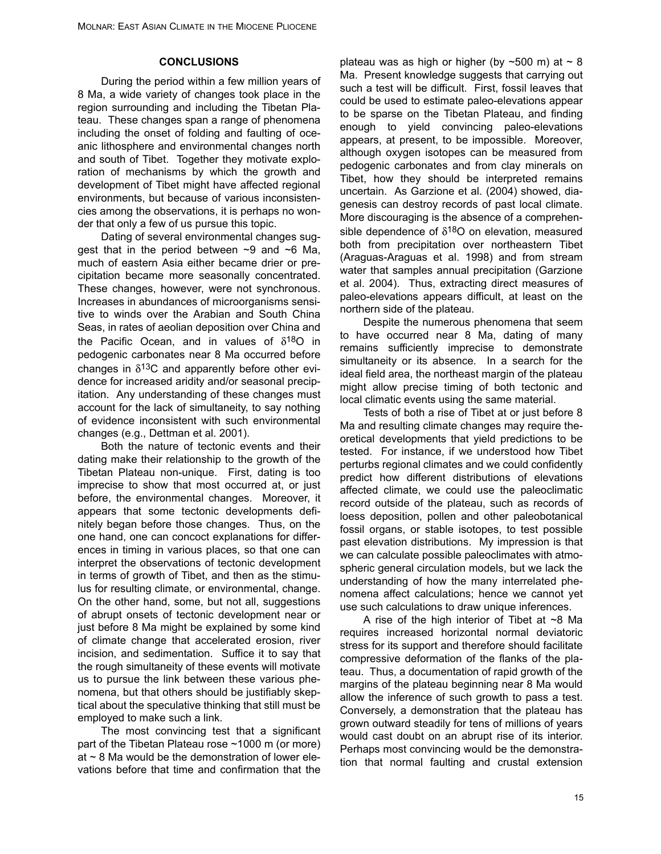#### **CONCLUSIONS**

During the period within a few million years of 8 Ma, a wide variety of changes took place in the region surrounding and including the Tibetan Plateau. These changes span a range of phenomena including the onset of folding and faulting of oceanic lithosphere and environmental changes north and south of Tibet. Together they motivate exploration of mechanisms by which the growth and development of Tibet might have affected regional environments, but because of various inconsistencies among the observations, it is perhaps no wonder that only a few of us pursue this topic.

Dating of several environmental changes suggest that in the period between  $\sim$ 9 and  $\sim$ 6 Ma, much of eastern Asia either became drier or precipitation became more seasonally concentrated. These changes, however, were not synchronous. Increases in abundances of microorganisms sensitive to winds over the Arabian and South China Seas, in rates of aeolian deposition over China and the Pacific Ocean, and in values of  $\delta^{18}O$  in pedogenic carbonates near 8 Ma occurred before changes in  $\delta^{13}$ C and apparently before other evidence for increased aridity and/or seasonal precipitation. Any understanding of these changes must account for the lack of simultaneity, to say nothing of evidence inconsistent with such environmental changes (e.g., Dettman et al. 2001).

Both the nature of tectonic events and their dating make their relationship to the growth of the Tibetan Plateau non-unique. First, dating is too imprecise to show that most occurred at, or just before, the environmental changes. Moreover, it appears that some tectonic developments definitely began before those changes. Thus, on the one hand, one can concoct explanations for differences in timing in various places, so that one can interpret the observations of tectonic development in terms of growth of Tibet, and then as the stimulus for resulting climate, or environmental, change. On the other hand, some, but not all, suggestions of abrupt onsets of tectonic development near or just before 8 Ma might be explained by some kind of climate change that accelerated erosion, river incision, and sedimentation. Suffice it to say that the rough simultaneity of these events will motivate us to pursue the link between these various phenomena, but that others should be justifiably skeptical about the speculative thinking that still must be employed to make such a link.

The most convincing test that a significant part of the Tibetan Plateau rose ~1000 m (or more) at  $\sim$  8 Ma would be the demonstration of lower elevations before that time and confirmation that the

plateau was as high or higher (by  $\sim$  500 m) at  $\sim$  8 Ma. Present knowledge suggests that carrying out such a test will be difficult. First, fossil leaves that could be used to estimate paleo-elevations appear to be sparse on the Tibetan Plateau, and finding enough to yield convincing paleo-elevations appears, at present, to be impossible. Moreover, although oxygen isotopes can be measured from pedogenic carbonates and from clay minerals on Tibet, how they should be interpreted remains uncertain. As Garzione et al. (2004) showed, diagenesis can destroy records of past local climate. More discouraging is the absence of a comprehensible dependence of  $\delta^{18}$ O on elevation, measured both from precipitation over northeastern Tibet (Araguas-Araguas et al. 1998) and from stream water that samples annual precipitation (Garzione et al. 2004). Thus, extracting direct measures of paleo-elevations appears difficult, at least on the northern side of the plateau.

Despite the numerous phenomena that seem to have occurred near 8 Ma, dating of many remains sufficiently imprecise to demonstrate simultaneity or its absence. In a search for the ideal field area, the northeast margin of the plateau might allow precise timing of both tectonic and local climatic events using the same material.

Tests of both a rise of Tibet at or just before 8 Ma and resulting climate changes may require theoretical developments that yield predictions to be tested. For instance, if we understood how Tibet perturbs regional climates and we could confidently predict how different distributions of elevations affected climate, we could use the paleoclimatic record outside of the plateau, such as records of loess deposition, pollen and other paleobotanical fossil organs, or stable isotopes, to test possible past elevation distributions. My impression is that we can calculate possible paleoclimates with atmospheric general circulation models, but we lack the understanding of how the many interrelated phenomena affect calculations; hence we cannot yet use such calculations to draw unique inferences.

A rise of the high interior of Tibet at  $\sim$ 8 Ma requires increased horizontal normal deviatoric stress for its support and therefore should facilitate compressive deformation of the flanks of the plateau. Thus, a documentation of rapid growth of the margins of the plateau beginning near 8 Ma would allow the inference of such growth to pass a test. Conversely, a demonstration that the plateau has grown outward steadily for tens of millions of years would cast doubt on an abrupt rise of its interior. Perhaps most convincing would be the demonstration that normal faulting and crustal extension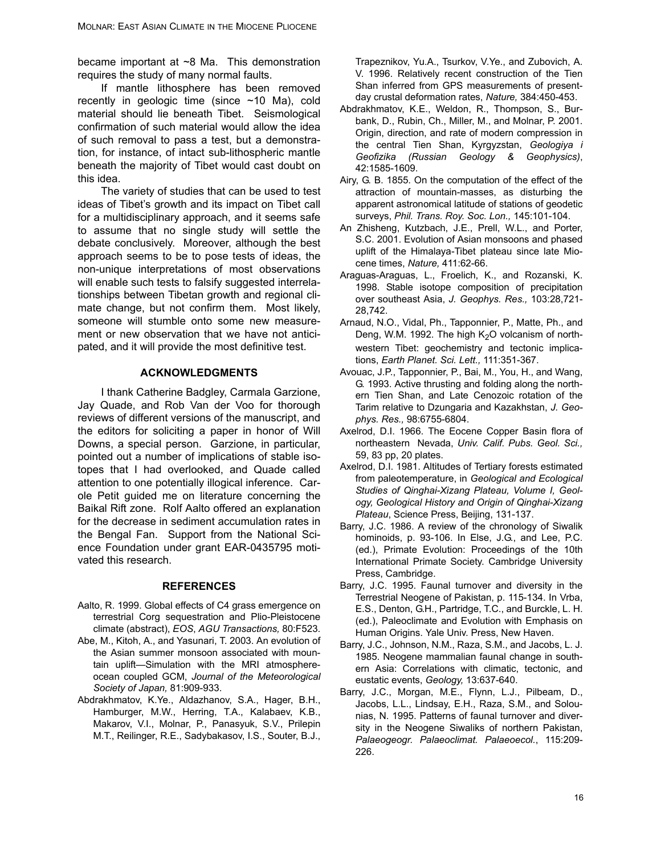became important at ~8 Ma. This demonstration requires the study of many normal faults.

If mantle lithosphere has been removed recently in geologic time (since ~10 Ma), cold material should lie beneath Tibet. Seismological confirmation of such material would allow the idea of such removal to pass a test, but a demonstration, for instance, of intact sub-lithospheric mantle beneath the majority of Tibet would cast doubt on this idea.

The variety of studies that can be used to test ideas of Tibet's growth and its impact on Tibet call for a multidisciplinary approach, and it seems safe to assume that no single study will settle the debate conclusively. Moreover, although the best approach seems to be to pose tests of ideas, the non-unique interpretations of most observations will enable such tests to falsify suggested interrelationships between Tibetan growth and regional climate change, but not confirm them. Most likely, someone will stumble onto some new measurement or new observation that we have not anticipated, and it will provide the most definitive test.

#### **ACKNOWLEDGMENTS**

I thank Catherine Badgley, Carmala Garzione, Jay Quade, and Rob Van der Voo for thorough reviews of different versions of the manuscript, and the editors for soliciting a paper in honor of Will Downs, a special person. Garzione, in particular, pointed out a number of implications of stable isotopes that I had overlooked, and Quade called attention to one potentially illogical inference. Carole Petit guided me on literature concerning the Baikal Rift zone. Rolf Aalto offered an explanation for the decrease in sediment accumulation rates in the Bengal Fan. Support from the National Science Foundation under grant EAR-0435795 motivated this research.

#### **REFERENCES**

- Aalto, R. 1999. Global effects of C4 grass emergence on terrestrial Corg sequestration and Plio-Pleistocene climate (abstract), *EOS*, *AGU Transactions,* 80:F523.
- Abe, M., Kitoh, A., and Yasunari, T. 2003. An evolution of the Asian summer monsoon associated with mountain uplift—Simulation with the MRI atmosphereocean coupled GCM, *Journal of the Meteorological Society of Japan,* 81:909-933.
- Abdrakhmatov, K.Ye., Aldazhanov, S.A., Hager, B.H., Hamburger, M.W., Herring, T.A., Kalabaev, K.B., Makarov, V.I., Molnar, P., Panasyuk, S.V., Prilepin M.T., Reilinger, R.E., Sadybakasov, I.S., Souter, B.J.,

Trapeznikov, Yu.A., Tsurkov, V.Ye., and Zubovich, A. V. 1996. Relatively recent construction of the Tien Shan inferred from GPS measurements of presentday crustal deformation rates, *Nature,* 384:450-453.

- Abdrakhmatov, K.E., Weldon, R., Thompson, S., Burbank, D., Rubin, Ch., Miller, M., and Molnar, P. 2001. Origin, direction, and rate of modern compression in the central Tien Shan, Kyrgyzstan, *Geologiya i Geofizika (Russian Geology & Geophysics)*, 42:1585-1609.
- Airy, G. B. 1855. On the computation of the effect of the attraction of mountain-masses, as disturbing the apparent astronomical latitude of stations of geodetic surveys, *Phil. Trans. Roy. Soc. Lon.,* 145:101-104.
- An Zhisheng, Kutzbach, J.E., Prell, W.L., and Porter, S.C. 2001. Evolution of Asian monsoons and phased uplift of the Himalaya-Tibet plateau since late Miocene times, *Nature,* 411:62-66.
- Araguas-Araguas, L., Froelich, K., and Rozanski, K. 1998. Stable isotope composition of precipitation over southeast Asia, *J. Geophys. Res.,* 103:28,721- 28,742.
- Arnaud, N.O., Vidal, Ph., Tapponnier, P., Matte, Ph., and Deng, W.M. 1992. The high  $K<sub>2</sub>O$  volcanism of northwestern Tibet: geochemistry and tectonic implications, *Earth Planet. Sci. Lett.,* 111:351-367.
- Avouac, J.P., Tapponnier, P., Bai, M., You, H., and Wang, G. 1993. Active thrusting and folding along the northern Tien Shan, and Late Cenozoic rotation of the Tarim relative to Dzungaria and Kazakhstan, *J. Geophys. Res.,* 98:6755-6804.
- Axelrod, D.I. 1966. The Eocene Copper Basin flora of northeastern Nevada, *Univ. Calif. Pubs. Geol. Sci.,* 59, 83 pp, 20 plates.
- Axelrod, D.I. 1981. Altitudes of Tertiary forests estimated from paleotemperature, in *Geological and Ecological Studies of Qinghai-Xizang Plateau, Volume I, Geology, Geological History and Origin of Qinghai-Xizang Plateau*, Science Press, Beijing, 131-137.
- Barry, J.C. 1986. A review of the chronology of Siwalik hominoids, p. 93-106. In Else, J.G., and Lee, P.C. (ed.), Primate Evolution: Proceedings of the 10th International Primate Society. Cambridge University Press, Cambridge.
- Barry, J.C. 1995. Faunal turnover and diversity in the Terrestrial Neogene of Pakistan, p. 115-134. In Vrba, E.S., Denton, G.H., Partridge, T.C., and Burckle, L. H. (ed.), Paleoclimate and Evolution with Emphasis on Human Origins. Yale Univ. Press, New Haven.
- Barry, J.C., Johnson, N.M., Raza, S.M., and Jacobs, L. J. 1985. Neogene mammalian faunal change in southern Asia: Correlations with climatic, tectonic, and eustatic events, *Geology,* 13:637-640.
- Barry, J.C., Morgan, M.E., Flynn, L.J., Pilbeam, D., Jacobs, L.L., Lindsay, E.H., Raza, S.M., and Solounias, N. 1995. Patterns of faunal turnover and diversity in the Neogene Siwaliks of northern Pakistan, *Palaeogeogr. Palaeoclimat. Palaeoecol.*, 115:209- 226.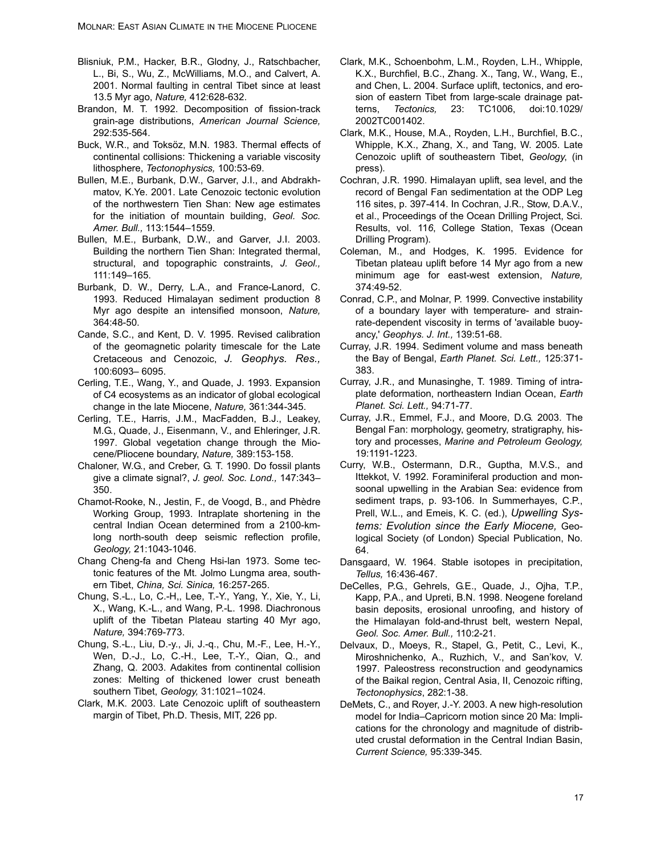- Blisniuk, P.M., Hacker, B.R., Glodny, J., Ratschbacher, L., Bi, S., Wu, Z., McWilliams, M.O., and Calvert, A. 2001. Normal faulting in central Tibet since at least 13.5 Myr ago, *Nature,* 412:628-632.
- Brandon, M. T. 1992. Decomposition of fission-track grain-age distributions, *American Journal Science,* 292:535-564.
- Buck, W.R., and Toksöz, M.N. 1983. Thermal effects of continental collisions: Thickening a variable viscosity lithosphere, *Tectonophysics,* 100:53-69.
- Bullen, M.E., Burbank, D.W., Garver, J.I., and Abdrakhmatov, K.Ye. 2001. Late Cenozoic tectonic evolution of the northwestern Tien Shan: New age estimates for the initiation of mountain building, *Geol. Soc. Amer. Bull.,* 113:1544–1559.
- Bullen, M.E., Burbank, D.W., and Garver, J.I. 2003. Building the northern Tien Shan: Integrated thermal, structural, and topographic constraints, *J. Geol.,* 111:149–165.
- Burbank, D. W., Derry, L.A., and France-Lanord, C. 1993. Reduced Himalayan sediment production 8 Myr ago despite an intensified monsoon, *Nature,* 364:48-50.
- Cande, S.C., and Kent, D. V. 1995. Revised calibration of the geomagnetic polarity timescale for the Late Cretaceous and Cenozoic, *J. Geophys. Res.,* 100:6093– 6095.
- Cerling, T.E., Wang, Y., and Quade, J. 1993. Expansion of C4 ecosystems as an indicator of global ecological change in the late Miocene, *Nature,* 361:344-345.
- Cerling, T.E., Harris, J.M., MacFadden, B.J., Leakey, M.G., Quade, J., Eisenmann, V., and Ehleringer, J.R. 1997. Global vegetation change through the Miocene/Pliocene boundary, *Nature,* 389:153-158.
- Chaloner, W.G., and Creber, G. T. 1990. Do fossil plants give a climate signal?, *J. geol. Soc. Lond.,* 147:343– 350.
- Chamot-Rooke, N., Jestin, F., de Voogd, B., and Phèdre Working Group, 1993. Intraplate shortening in the central Indian Ocean determined from a 2100-kmlong north-south deep seismic reflection profile, *Geology,* 21:1043-1046.
- Chang Cheng-fa and Cheng Hsi-lan 1973. Some tectonic features of the Mt. Jolmo Lungma area, southern Tibet, *China, Sci. Sinica,* 16:257-265.
- Chung, S.-L., Lo, C.-H,, Lee, T.-Y., Yang, Y., Xie, Y., Li, X., Wang, K.-L., and Wang, P.-L. 1998. Diachronous uplift of the Tibetan Plateau starting 40 Myr ago, *Nature,* 394:769-773.
- Chung, S.-L., Liu, D.-y., Ji, J.-q., Chu, M.-F., Lee, H.-Y., Wen, D.-J., Lo, C.-H., Lee, T.-Y., Qian, Q., and Zhang, Q. 2003. Adakites from continental collision zones: Melting of thickened lower crust beneath southern Tibet, *Geology,* 31:1021–1024.
- Clark, M.K. 2003. Late Cenozoic uplift of southeastern margin of Tibet, Ph.D. Thesis, MIT, 226 pp.
- Clark, M.K., Schoenbohm, L.M., Royden, L.H., Whipple, K.X., Burchfiel, B.C., Zhang. X., Tang, W., Wang, E., and Chen, L. 2004. Surface uplift, tectonics, and erosion of eastern Tibet from large-scale drainage patterns, *Tectonics,* 23: TC1006, doi:10.1029/ 2002TC001402.
- Clark, M.K., House, M.A., Royden, L.H., Burchfiel, B.C., Whipple, K.X., Zhang, X., and Tang, W. 2005. Late Cenozoic uplift of southeastern Tibet, *Geology*, (in press).
- Cochran, J.R. 1990. Himalayan uplift, sea level, and the record of Bengal Fan sedimentation at the ODP Leg 116 sites, p. 397-414. In Cochran, J.R., Stow, D.A.V., et al., Proceedings of the Ocean Drilling Project, Sci. Results, vol. 11*6*, College Station, Texas (Ocean Drilling Program).
- Coleman, M., and Hodges, K. 1995. Evidence for Tibetan plateau uplift before 14 Myr ago from a new minimum age for east-west extension, *Nature,* 374:49-52.
- Conrad, C.P., and Molnar, P. 1999. Convective instability of a boundary layer with temperature- and strainrate-dependent viscosity in terms of 'available buoyancy,' *Geophys. J. Int.,* 139:51-68.
- Curray, J.R. 1994. Sediment volume and mass beneath the Bay of Bengal, *Earth Planet. Sci. Lett.,* 125:371- 383.
- Curray, J.R., and Munasinghe, T. 1989. Timing of intraplate deformation, northeastern Indian Ocean, *Earth Planet. Sci. Lett.,* 94:71-77.
- Curray, J.R., Emmel, F.J., and Moore, D.G. 2003. The Bengal Fan: morphology, geometry, stratigraphy, history and processes, *Marine and Petroleum Geology,* 19:1191-1223.
- Curry, W.B., Ostermann, D.R., Guptha, M.V.S., and Ittekkot, V. 1992. Foraminiferal production and monsoonal upwelling in the Arabian Sea: evidence from sediment traps, p. 93-106. In Summerhayes, C.P., Prell, W.L., and Emeis, K. C. (ed.), *Upwelling Systems: Evolution since the Early Miocene,* Geological Society (of London) Special Publication, No. 64.
- Dansgaard, W. 1964. Stable isotopes in precipitation, *Tellus,* 16:436-467.
- DeCelles, P.G., Gehrels, G.E., Quade, J., Ojha, T.P., Kapp, P.A., and Upreti, B.N. 1998. Neogene foreland basin deposits, erosional unroofing, and history of the Himalayan fold-and-thrust belt, western Nepal, *Geol. Soc. Amer. Bull.,* 110:2-21.
- Delvaux, D., Moeys, R., Stapel, G., Petit, C., Levi, K., Miroshnichenko, A., Ruzhich, V., and San'kov, V. 1997. Paleostress reconstruction and geodynamics of the Baikal region, Central Asia, II, Cenozoic rifting, *Tectonophysics*, 282:1-38.
- DeMets, C., and Royer, J.-Y. 2003. A new high-resolution model for India–Capricorn motion since 20 Ma: Implications for the chronology and magnitude of distributed crustal deformation in the Central Indian Basin, *Current Science,* 95:339-345.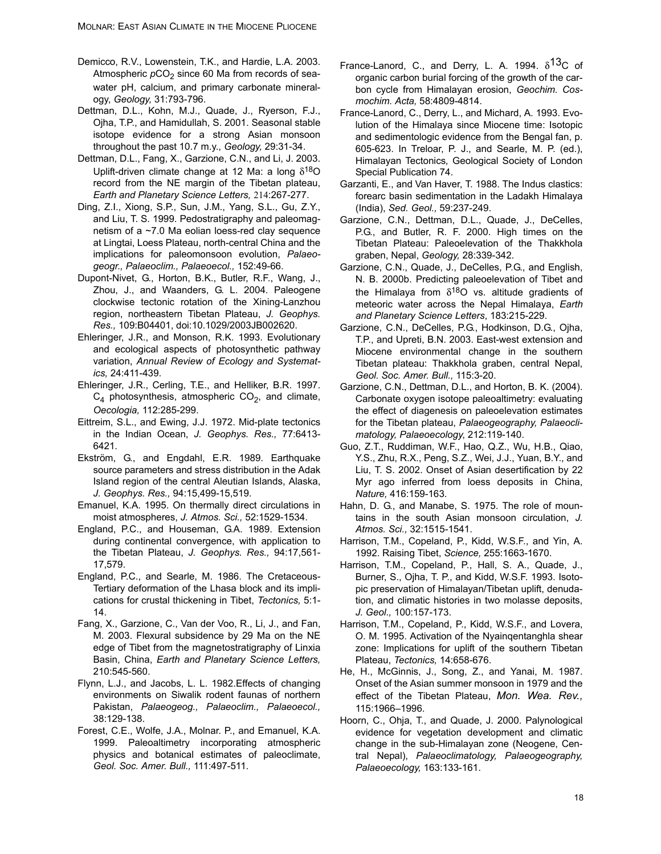- Demicco, R.V., Lowenstein, T.K., and Hardie, L.A. 2003. Atmospheric  $pCO<sub>2</sub>$  since 60 Ma from records of seawater pH, calcium, and primary carbonate mineralogy, *Geology,* 31:793-796.
- Dettman, D.L., Kohn, M.J., Quade, J., Ryerson, F.J., Ojha, T.P., and Hamidullah, S. 2001. Seasonal stable isotope evidence for a strong Asian monsoon throughout the past 10.7 m.y., *Geology,* 29:31-34.
- Dettman, D.L., Fang, X., Garzione, C.N., and Li, J. 2003. Uplift-driven climate change at 12 Ma: a long  $\delta^{18}O$ record from the NE margin of the Tibetan plateau, *Earth and Planetary Science Letters,* 214:267-277.
- Ding, Z.I., Xiong, S.P., Sun, J.M., Yang, S.L., Gu, Z.Y., and Liu, T. S. 1999. Pedostratigraphy and paleomagnetism of a ~7.0 Ma eolian loess-red clay sequence at Lingtai, Loess Plateau, north-central China and the implications for paleomonsoon evolution, *Palaeogeogr., Palaeoclim., Palaeoecol.,* 152:49-66.
- Dupont-Nivet, G., Horton, B.K., Butler, R.F., Wang, J., Zhou, J., and Waanders, G. L. 2004. Paleogene clockwise tectonic rotation of the Xining-Lanzhou region, northeastern Tibetan Plateau, *J. Geophys. Res.,* 109:B04401, doi:10.1029/2003JB002620.
- Ehleringer, J.R., and Monson, R.K. 1993. Evolutionary and ecological aspects of photosynthetic pathway variation, *Annual Review of Ecology and Systematics,* 24:411-439.
- Ehleringer, J.R., Cerling, T.E., and Helliker, B.R. 1997.  $C_4$  photosynthesis, atmospheric  $CO_2$ , and climate, *Oecologia,* 112:285-299.
- Eittreim, S.L., and Ewing, J.J. 1972. Mid-plate tectonics in the Indian Ocean, *J. Geophys. Res.,* 77:6413- 6421.
- Ekström, G., and Engdahl, E.R. 1989. Earthquake source parameters and stress distribution in the Adak Island region of the central Aleutian Islands, Alaska, *J. Geophys. Res.,* 94:15,499-15,519.
- Emanuel, K.A. 1995. On thermally direct circulations in moist atmospheres, *J. Atmos. Sci.,* 52:1529-1534.
- England, P.C., and Houseman, G.A. 1989. Extension during continental convergence, with application to the Tibetan Plateau, *J. Geophys. Res.,* 94:17,561- 17,579.
- England, P.C., and Searle, M. 1986. The Cretaceous-Tertiary deformation of the Lhasa block and its implications for crustal thickening in Tibet, *Tectonics,* 5:1- 14.
- Fang, X., Garzione, C., Van der Voo, R., Li, J., and Fan, M. 2003. Flexural subsidence by 29 Ma on the NE edge of Tibet from the magnetostratigraphy of Linxia Basin, China, *Earth and Planetary Science Letters,* 210:545-560.
- Flynn, L.J., and Jacobs, L. L. 1982.Effects of changing environments on Siwalik rodent faunas of northern Pakistan, *Palaeogeog., Palaeoclim., Palaeoecol.,* 38:129-138.
- Forest, C.E., Wolfe, J.A., Molnar. P., and Emanuel, K.A. 1999. Paleoaltimetry incorporating atmospheric physics and botanical estimates of paleoclimate, *Geol. Soc. Amer. Bull.,* 111:497-511.
- France-Lanord, C., and Derry, L. A. 1994.  $\delta^{13}C$  of organic carbon burial forcing of the growth of the carbon cycle from Himalayan erosion, *Geochim. Cosmochim. Acta,* 58:4809-4814.
- France-Lanord, C., Derry, L., and Michard, A. 1993. Evolution of the Himalaya since Miocene time: Isotopic and sedimentologic evidence from the Bengal fan, p. 605-623. In Treloar, P. J., and Searle, M. P. (ed.), Himalayan Tectonics*,* Geological Society of London Special Publication 74.
- Garzanti, E., and Van Haver, T. 1988. The Indus clastics: forearc basin sedimentation in the Ladakh Himalaya (India), *Sed. Geol.,* 59:237-249.
- Garzione, C.N., Dettman, D.L., Quade, J., DeCelles, P.G., and Butler, R. F. 2000. High times on the Tibetan Plateau: Paleoelevation of the Thakkhola graben, Nepal, *Geology,* 28:339-342.
- Garzione, C.N., Quade, J., DeCelles, P.G., and English, N. B. 2000b. Predicting paleoelevation of Tibet and the Himalaya from  $\delta^{18}O$  vs. altitude gradients of meteoric water across the Nepal Himalaya, *Earth and Planetary Science Letters*, 183:215-229.
- Garzione, C.N., DeCelles, P.G., Hodkinson, D.G., Ojha, T.P., and Upreti, B.N. 2003. East-west extension and Miocene environmental change in the southern Tibetan plateau: Thakkhola graben, central Nepal, *Geol. Soc. Amer. Bull.,* 115:3-20.
- Garzione, C.N., Dettman, D.L., and Horton, B. K. (2004). Carbonate oxygen isotope paleoaltimetry: evaluating the effect of diagenesis on paleoelevation estimates for the Tibetan plateau, *Palaeogeography, Palaeoclimatology, Palaeoecology*, 212:119-140.
- Guo, Z.T., Ruddiman, W.F., Hao, Q.Z., Wu, H.B., Qiao, Y.S., Zhu, R.X., Peng, S.Z., Wei, J.J., Yuan, B.Y., and Liu, T. S. 2002. Onset of Asian desertification by 22 Myr ago inferred from loess deposits in China, *Nature,* 416:159-163.
- Hahn, D. G., and Manabe, S. 1975. The role of mountains in the south Asian monsoon circulation, *J. Atmos. Sci.,* 32:1515-1541.
- Harrison, T.M., Copeland, P., Kidd, W.S.F., and Yin, A. 1992. Raising Tibet, *Science,* 255:1663-1670.
- Harrison, T.M., Copeland, P., Hall, S. A., Quade, J., Burner, S., Ojha, T. P., and Kidd, W.S.F. 1993. Isotopic preservation of Himalayan/Tibetan uplift, denudation, and climatic histories in two molasse deposits, *J. Geol.,* 100:157-173.
- Harrison, T.M., Copeland, P., Kidd, W.S.F., and Lovera, O. M. 1995. Activation of the Nyainqentanghla shear zone: Implications for uplift of the southern Tibetan Plateau, *Tectonics,* 14:658-676.
- He, H., McGinnis, J., Song, Z., and Yanai, M. 1987. Onset of the Asian summer monsoon in 1979 and the effect of the Tibetan Plateau, *Mon. Wea. Rev.,* 115:1966–1996.
- Hoorn, C., Ohja, T., and Quade, J. 2000. Palynological evidence for vegetation development and climatic change in the sub-Himalayan zone (Neogene, Central Nepal), *Palaeoclimatology, Palaeogeography, Palaeoecology,* 163:133-161.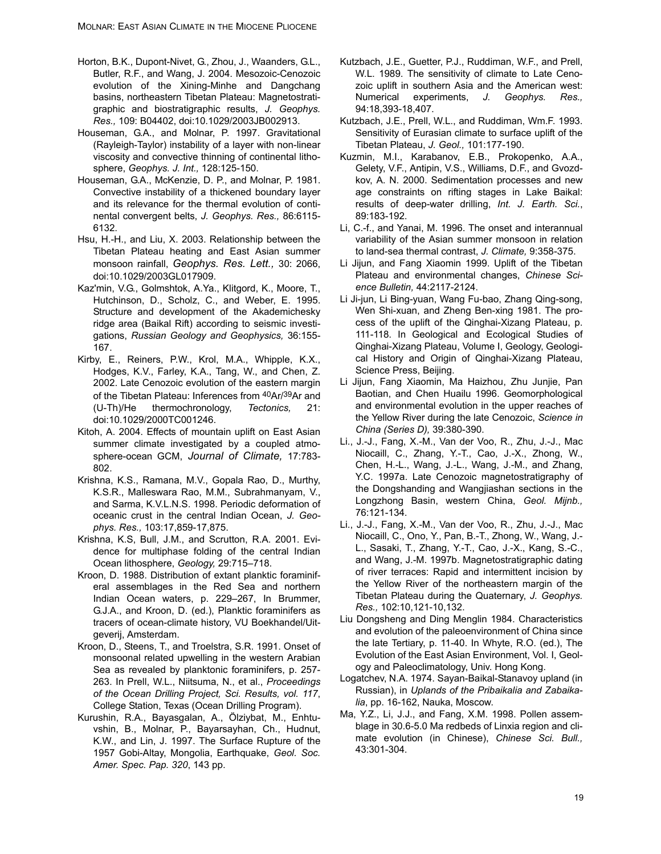- Horton, B.K., Dupont-Nivet, G., Zhou, J., Waanders, G.L., Butler, R.F., and Wang, J. 2004. Mesozoic-Cenozoic evolution of the Xining-Minhe and Dangchang basins, northeastern Tibetan Plateau: Magnetostratigraphic and biostratigraphic results, *J. Geophys. Res.,* 109: B04402, doi:10.1029/2003JB002913.
- Houseman, G.A., and Molnar, P. 1997. Gravitational (Rayleigh-Taylor) instability of a layer with non-linear viscosity and convective thinning of continental lithosphere, *Geophys. J. Int.,* 128:125-150.
- Houseman, G.A., McKenzie, D. P., and Molnar, P. 1981. Convective instability of a thickened boundary layer and its relevance for the thermal evolution of continental convergent belts, *J. Geophys. Res.,* 86:6115- 6132.
- Hsu, H.-H., and Liu, X. 2003. Relationship between the Tibetan Plateau heating and East Asian summer monsoon rainfall, *Geophys. Res. Lett.,* 30: 2066, doi:10.1029/2003GL017909.
- Kaz'min, V.G., Golmshtok, A.Ya., Klitgord, K., Moore, T., Hutchinson, D., Scholz, C., and Weber, E. 1995. Structure and development of the Akademichesky ridge area (Baikal Rift) according to seismic investigations, *Russian Geology and Geophysics,* 36:155- 167.
- Kirby, E., Reiners, P.W., Krol, M.A., Whipple, K.X., Hodges, K.V., Farley, K.A., Tang, W., and Chen, Z. 2002. Late Cenozoic evolution of the eastern margin of the Tibetan Plateau: Inferences from 40Ar/39Ar and (U-Th)/He thermochronology, *Tectonics,* 21: doi:10.1029/2000TC001246.
- Kitoh, A. 2004. Effects of mountain uplift on East Asian summer climate investigated by a coupled atmosphere-ocean GCM, *Journal of Climate,* 17:783- 802.
- Krishna, K.S., Ramana, M.V., Gopala Rao, D., Murthy, K.S.R., Malleswara Rao, M.M., Subrahmanyam, V., and Sarma, K.V.L.N.S. 1998. Periodic deformation of oceanic crust in the central Indian Ocean, *J. Geophys. Res.,* 103:17,859-17,875.
- Krishna, K.S, Bull, J.M., and Scrutton, R.A. 2001. Evidence for multiphase folding of the central Indian Ocean lithosphere, *Geology,* 29:715–718.
- Kroon, D. 1988. Distribution of extant planktic foraminiferal assemblages in the Red Sea and northern Indian Ocean waters, p. 229–267, In Brummer, G.J.A., and Kroon, D. (ed.), Planktic foraminifers as tracers of ocean-climate history, VU Boekhandel/Uitgeverij, Amsterdam.
- Kroon, D., Steens, T., and Troelstra, S.R. 1991. Onset of monsoonal related upwelling in the western Arabian Sea as revealed by planktonic foraminifers, p. 257- 263. In Prell, W.L., Niitsuma, N., et al., *Proceedings of the Ocean Drilling Project, Sci. Results, vol. 117*, College Station, Texas (Ocean Drilling Program).
- Kurushin, R.A., Bayasgalan, A., Ölziybat, M., Enhtuvshin, B., Molnar, P., Bayarsayhan, Ch., Hudnut, K.W., and Lin, J. 1997. The Surface Rupture of the 1957 Gobi-Altay, Mongolia, Earthquake, *Geol. Soc. Amer. Spec. Pap. 320*, 143 pp.
- Kutzbach, J.E., Guetter, P.J., Ruddiman, W.F., and Prell, W.L. 1989. The sensitivity of climate to Late Cenozoic uplift in southern Asia and the American west: Numerical experiments, *J. Geophys. Res.,* 94:18,393-18,407.
- Kutzbach, J.E., Prell, W.L., and Ruddiman, Wm.F. 1993. Sensitivity of Eurasian climate to surface uplift of the Tibetan Plateau, *J. Geol.,* 101:177-190.
- Kuzmin, M.I., Karabanov, E.B., Prokopenko, A.A., Gelety, V.F., Antipin, V.S., Williams, D.F., and Gvozdkov, A. N. 2000. Sedimentation processes and new age constraints on rifting stages in Lake Baikal: results of deep-water drilling, *Int. J. Earth. Sci.*, 89:183-192.
- Li, C.-f., and Yanai, M. 1996. The onset and interannual variability of the Asian summer monsoon in relation to land-sea thermal contrast, *J. Climate,* 9:358-375.
- Li Jijun, and Fang Xiaomin 1999. Uplift of the Tibetan Plateau and environmental changes, *Chinese Science Bulletin,* 44:2117-2124.
- Li Ji-jun, Li Bing-yuan, Wang Fu-bao, Zhang Qing-song, Wen Shi-xuan, and Zheng Ben-xing 1981. The process of the uplift of the Qinghai-Xizang Plateau, p. 111-118. In Geological and Ecological Studies of Qinghai-Xizang Plateau, Volume I, Geology, Geological History and Origin of Qinghai-Xizang Plateau, Science Press, Beijing.
- Li Jijun, Fang Xiaomin, Ma Haizhou, Zhu Junjie, Pan Baotian, and Chen Huailu 1996. Geomorphological and environmental evolution in the upper reaches of the Yellow River during the late Cenozoic, *Science in China (Series D),* 39:380-390.
- Li., J.-J., Fang, X.-M., Van der Voo, R., Zhu, J.-J., Mac Niocaill, C., Zhang, Y.-T., Cao, J.-X., Zhong, W., Chen, H.-L., Wang, J.-L., Wang, J.-M., and Zhang, Y.C. 1997a. Late Cenozoic magnetostratigraphy of the Dongshanding and Wangjiashan sections in the Longzhong Basin, western China, *Geol. Mijnb.,* 76:121-134.
- Li., J.-J., Fang, X.-M., Van der Voo, R., Zhu, J.-J., Mac Niocaill, C., Ono, Y., Pan, B.-T., Zhong, W., Wang, J.- L., Sasaki, T., Zhang, Y.-T., Cao, J.-X., Kang, S.-C., and Wang, J.-M. 1997b. Magnetostratigraphic dating of river terraces: Rapid and intermittent incision by the Yellow River of the northeastern margin of the Tibetan Plateau during the Quaternary, *J. Geophys. Res.,* 102:10,121-10,132.
- Liu Dongsheng and Ding Menglin 1984. Characteristics and evolution of the paleoenvironment of China since the late Tertiary, p. 11-40. In Whyte, R.O. (ed.), The Evolution of the East Asian Environment, Vol. I, Geology and Paleoclimatology, Univ. Hong Kong.
- Logatchev, N.A. 1974. Sayan-Baikal-Stanavoy upland (in Russian), in *Uplands of the Pribaikalia and Zabaikalia*, pp. 16-162, Nauka, Moscow.
- Ma, Y.Z., Li, J.J., and Fang, X.M. 1998. Pollen assemblage in 30.6-5.0 Ma redbeds of Linxia region and climate evolution (in Chinese), *Chinese Sci. Bull.,* 43:301-304.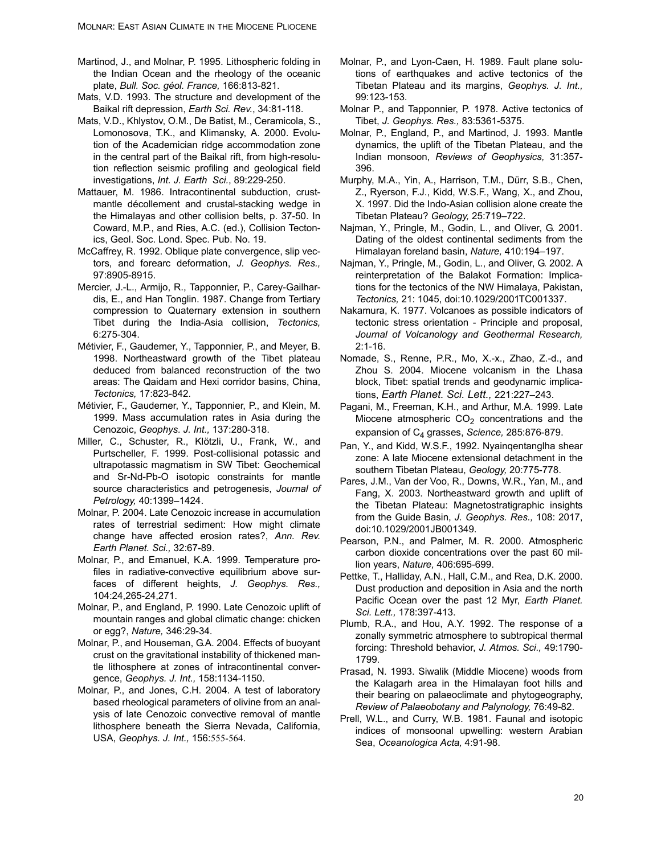- Martinod, J., and Molnar, P. 1995. Lithospheric folding in the Indian Ocean and the rheology of the oceanic plate, *Bull. Soc. géol. France,* 166:813-821.
- Mats, V.D. 1993. The structure and development of the Baikal rift depression, *Earth Sci. Rev.*, 34:81-118.
- Mats, V.D., Khlystov, O.M., De Batist, M., Ceramicola, S., Lomonosova, T.K., and Klimansky, A. 2000. Evolution of the Academician ridge accommodation zone in the central part of the Baikal rift, from high-resolution reflection seismic profiling and geological field investigations, *Int. J. Earth Sci.*, 89:229-250.
- Mattauer, M. 1986. Intracontinental subduction, crustmantle décollement and crustal-stacking wedge in the Himalayas and other collision belts, p. 37-50. In Coward, M.P., and Ries, A.C. (ed.), Collision Tectonics, Geol. Soc. Lond. Spec. Pub. No. 19.
- McCaffrey, R. 1992. Oblique plate convergence, slip vectors, and forearc deformation, *J. Geophys. Res.,* 97:8905-8915.
- Mercier, J.-L., Armijo, R., Tapponnier, P., Carey-Gailhardis, E., and Han Tonglin. 1987. Change from Tertiary compression to Quaternary extension in southern Tibet during the India-Asia collision, *Tectonics,* 6:275-304.
- Métivier, F., Gaudemer, Y., Tapponnier, P., and Meyer, B. 1998. Northeastward growth of the Tibet plateau deduced from balanced reconstruction of the two areas: The Qaidam and Hexi corridor basins, China, *Tectonics,* 17:823-842.
- Métivier, F., Gaudemer, Y., Tapponnier, P., and Klein, M. 1999. Mass accumulation rates in Asia during the Cenozoic, *Geophys. J. Int.,* 137:280-318.
- Miller, C., Schuster, R., Klötzli, U., Frank, W., and Purtscheller, F. 1999. Post-collisional potassic and ultrapotassic magmatism in SW Tibet: Geochemical and Sr-Nd-Pb-O isotopic constraints for mantle source characteristics and petrogenesis, *Journal of Petrology,* 40:1399–1424.
- Molnar, P. 2004. Late Cenozoic increase in accumulation rates of terrestrial sediment: How might climate change have affected erosion rates?, *Ann. Rev. Earth Planet. Sci.,* 32:67-89.
- Molnar, P., and Emanuel, K.A. 1999. Temperature profiles in radiative-convective equilibrium above surfaces of different heights, *J. Geophys. Res.,* 104:24,265-24,271.
- Molnar, P., and England, P. 1990. Late Cenozoic uplift of mountain ranges and global climatic change: chicken or egg?, *Nature,* 346:29-34.
- Molnar, P., and Houseman, G.A. 2004. Effects of buoyant crust on the gravitational instability of thickened mantle lithosphere at zones of intracontinental convergence, *Geophys. J. Int.,* 158:1134-1150.
- Molnar, P., and Jones, C.H. 2004. A test of laboratory based rheological parameters of olivine from an analysis of late Cenozoic convective removal of mantle lithosphere beneath the Sierra Nevada, California, USA, *Geophys. J. Int.,* 156:555-564.
- Molnar, P., and Lyon-Caen, H. 1989. Fault plane solutions of earthquakes and active tectonics of the Tibetan Plateau and its margins, *Geophys. J. Int.,* 99:123-153.
- Molnar P., and Tapponnier, P. 1978. Active tectonics of Tibet, *J. Geophys. Res.,* 83:5361-5375.
- Molnar, P., England, P., and Martinod, J. 1993. Mantle dynamics, the uplift of the Tibetan Plateau, and the Indian monsoon, *Reviews of Geophysics,* 31:357- 396.
- Murphy, M.A., Yin, A., Harrison, T.M., Dürr, S.B., Chen, Z., Ryerson, F.J., Kidd, W.S.F., Wang, X., and Zhou, X. 1997. Did the Indo-Asian collision alone create the Tibetan Plateau? *Geology,* 25:719–722.
- Najman, Y., Pringle, M., Godin, L., and Oliver, G. 2001. Dating of the oldest continental sediments from the Himalayan foreland basin, *Nature,* 410:194–197.
- Najman, Y., Pringle, M., Godin, L., and Oliver, G. 2002. A reinterpretation of the Balakot Formation: Implications for the tectonics of the NW Himalaya, Pakistan, *Tectonics,* 21: 1045, doi:10.1029/2001TC001337.
- Nakamura, K. 1977. Volcanoes as possible indicators of tectonic stress orientation - Principle and proposal, *Journal of Volcanology and Geothermal Research,* 2:1-16.
- Nomade, S., Renne, P.R., Mo, X.-x., Zhao, Z.-d., and Zhou S. 2004. Miocene volcanism in the Lhasa block, Tibet: spatial trends and geodynamic implications, *Earth Planet. Sci. Lett.,* 221:227–243.
- Pagani, M., Freeman, K.H., and Arthur, M.A. 1999. Late Miocene atmospheric  $CO<sub>2</sub>$  concentrations and the expansion of C4 grasses, *Science,* 285:876-879.
- Pan, Y., and Kidd, W.S.F., 1992. Nyainqentanglha shear zone: A late Miocene extensional detachment in the southern Tibetan Plateau, *Geology,* 20:775-778.
- Pares, J.M., Van der Voo, R., Downs, W.R., Yan, M., and Fang, X. 2003. Northeastward growth and uplift of the Tibetan Plateau: Magnetostratigraphic insights from the Guide Basin, *J. Geophys. Res.,* 108: 2017, doi:10.1029/2001JB001349.
- Pearson, P.N., and Palmer, M. R. 2000. Atmospheric carbon dioxide concentrations over the past 60 million years, *Nature,* 406:695-699.
- Pettke, T., Halliday, A.N., Hall, C.M., and Rea, D.K. 2000. Dust production and deposition in Asia and the north Pacific Ocean over the past 12 Myr, *Earth Planet. Sci. Lett.,* 178:397-413.
- Plumb, R.A., and Hou, A.Y. 1992. The response of a zonally symmetric atmosphere to subtropical thermal forcing: Threshold behavior, *J. Atmos. Sci.,* 49:1790- 1799.
- Prasad, N. 1993. Siwalik (Middle Miocene) woods from the Kalagarh area in the Himalayan foot hills and their bearing on palaeoclimate and phytogeography, *Review of Palaeobotany and Palynology,* 76:49-82.
- Prell, W.L., and Curry, W.B. 1981. Faunal and isotopic indices of monsoonal upwelling: western Arabian Sea, *Oceanologica Acta,* 4:91-98.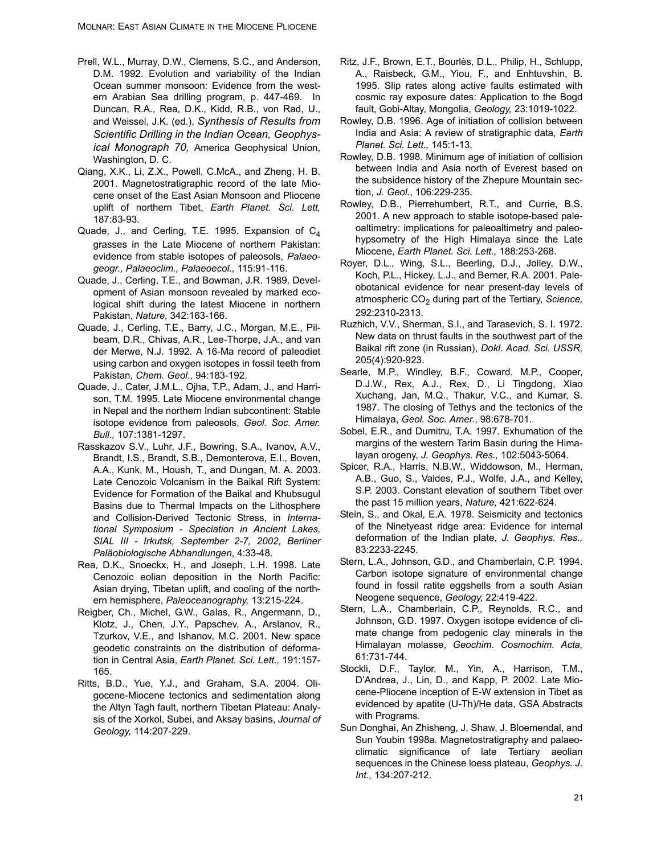- Prell, W.L., Murray, D.W., Clemens, S.C., and Anderson, D.M. 1992. Evolution and variability of the Indian Ocean summer monsoon: Evidence from the western Arabian Sea drilling program, p. 447-469. In Duncan, R.A., Rea, D.K., Kidd, R.B., von Rad, U., and Weissel, J.K. (ed.), *Synthesis of Results from Scientific Drilling in the Indian Ocean, Geophysical Monograph 70,* America Geophysical Union, Washington, D. C.
- Qiang, X.K., Li, Z.X., Powell, C.McA., and Zheng, H. B. 2001. Magnetostratigraphic record of the late Miocene onset of the East Asian Monsoon and Pliocene uplift of northern Tibet, *Earth Planet. Sci. Lett,* 187:83-93.
- Quade, J., and Cerling, T.E. 1995. Expansion of C<sub>4</sub> grasses in the Late Miocene of northern Pakistan: evidence from stable isotopes of paleosols, *Palaeogeogr., Palaeoclim., Palaeoecol.,* 115:91-116.
- Quade, J., Cerling, T.E., and Bowman, J.R. 1989. Development of Asian monsoon revealed by marked ecological shift during the latest Miocene in northern Pakistan, *Nature,* 342:163-166.
- Quade, J., Cerling, T.E., Barry, J.C., Morgan, M.E., Pilbeam, D.R., Chivas, A.R., Lee-Thorpe, J.A., and van der Merwe, N.J. 1992. A 16-Ma record of paleodiet using carbon and oxygen isotopes in fossil teeth from Pakistan, *Chem. Geol.,* 94:183-192.
- Quade, J., Cater, J.M.L., Ojha, T.P., Adam, J., and Harrison, T.M. 1995. Late Miocene environmental change in Nepal and the northern Indian subcontinent: Stable isotope evidence from paleosols, *Geol. Soc. Amer. Bull.,* 107:1381-1297.
- Rasskazov S.V., Luhr, J.F., Bowring, S.A., Ivanov, A.V., Brandt, I.S., Brandt, S.B., Demonterova, E.I., Boven, A.A., Kunk, M., Housh, T., and Dungan, M. A. 2003. Late Cenozoic Volcanism in the Baikal Rift System: Evidence for Formation of the Baikal and Khubsugul Basins due to Thermal Impacts on the Lithosphere and Collision-Derived Tectonic Stress, in *International Symposium - Speciation in Ancient Lakes, SIAL III - Irkutsk, September 2-7, 2002*, *Berliner Paläobiologische Abhandlungen*, 4:33-48.
- Rea, D.K., Snoeckx, H., and Joseph, L.H. 1998. Late Cenozoic eolian deposition in the North Pacific: Asian drying, Tibetan uplift, and cooling of the northern hemisphere, *Paleoceanography,* 13:215-224.
- Reigber, Ch., Michel, G.W., Galas, R., Angermann, D., Klotz, J., Chen, J.Y., Papschev, A., Arslanov, R., Tzurkov, V.E., and Ishanov, M.C. 2001. New space geodetic constraints on the distribution of deformation in Central Asia, *Earth Planet. Sci. Lett.,* 191:157- 165.
- Ritts, B.D., Yue, Y.J., and Graham, S.A. 2004. Oligocene-Miocene tectonics and sedimentation along the Altyn Tagh fault, northern Tibetan Plateau: Analysis of the Xorkol, Subei, and Aksay basins, *Journal of Geology,* 114:207-229.
- Ritz, J.F., Brown, E.T., Bourlès, D.L., Philip, H., Schlupp, A., Raisbeck, G.M., Yiou, F., and Enhtuvshin, B. 1995. Slip rates along active faults estimated with cosmic ray exposure dates: Application to the Bogd fault, Gobi-Altay, Mongolia, *Geology,* 23:1019-1022.
- Rowley, D.B. 1996. Age of initiation of collision between India and Asia: A review of stratigraphic data, *Earth Planet. Sci. Lett.,* 145:1-13.
- Rowley, D.B. 1998. Minimum age of initiation of collision between India and Asia north of Everest based on the subsidence history of the Zhepure Mountain section, *J. Geol.*, 106:229-235.
- Rowley, D.B., Pierrehumbert, R.T., and Currie, B.S. 2001. A new approach to stable isotope-based paleoaltimetry: implications for paleoaltimetry and paleohypsometry of the High Himalaya since the Late Miocene, *Earth Planet. Sci. Lett.,* 188:253-268.
- Royer, D.L., Wing, S.L., Beerling, D.J., Jolley, D.W., Koch, P.L., Hickey, L.J., and Berner, R.A. 2001. Paleobotanical evidence for near present-day levels of atmospheric CO<sub>2</sub> during part of the Tertiary, Science, 292:2310-2313.
- Ruzhich, V.V., Sherman, S.I., and Tarasevich, S. I. 1972. New data on thrust faults in the southwest part of the Baikal rift zone (in Russian), *Dokl. Acad. Sci. USSR,* 205(4):920-923.
- Searle, M.P., Windley, B.F., Coward. M.P., Cooper, D.J.W., Rex, A.J., Rex, D., Li Tingdong, Xiao Xuchang, Jan, M.Q., Thakur, V.C., and Kumar, S. 1987. The closing of Tethys and the tectonics of the Himalaya, *Geol. Soc. Amer.*, 98:678-701.
- Sobel, E.R., and Dumitru, T.A. 1997. Exhumation of the margins of the western Tarim Basin during the Himalayan orogeny, *J. Geophys. Res.,* 102:5043-5064.
- Spicer, R.A., Harris, N.B.W., Widdowson, M., Herman, A.B., Guo, S., Valdes, P.J., Wolfe, J.A., and Kelley, S.P. 2003. Constant elevation of southern Tibet over the past 15 million years, *Nature,* 421:622-624.
- Stein, S., and Okal, E.A. 1978. Seismicity and tectonics of the Ninetyeast ridge area: Evidence for internal deformation of the Indian plate, *J. Geophys. Res.,* 83:2233-2245.
- Stern, L.A., Johnson, G.D., and Chamberlain, C.P. 1994. Carbon isotope signature of environmental change found in fossil ratite eggshells from a south Asian Neogene sequence, *Geology,* 22:419-422.
- Stern, L.A., Chamberlain, C.P., Reynolds, R.C., and Johnson, G.D. 1997. Oxygen isotope evidence of climate change from pedogenic clay minerals in the Himalayan molasse, *Geochim. Cosmochim. Acta,* 61:731-744.
- Stockli, D.F., Taylor, M., Yin, A., Harrison, T.M., D'Andrea, J., Lin, D., and Kapp, P. 2002. Late Miocene-Pliocene inception of E-W extension in Tibet as evidenced by apatite (U-Th)/He data, GSA Abstracts with Programs.
- Sun Donghai, An Zhisheng, J. Shaw, J. Bloemendal, and Sun Youbin 1998a. Magnetostratigraphy and palaeoclimatic significance of late Tertiary aeolian sequences in the Chinese loess plateau, *Geophys. J. Int.,* 134:207-212.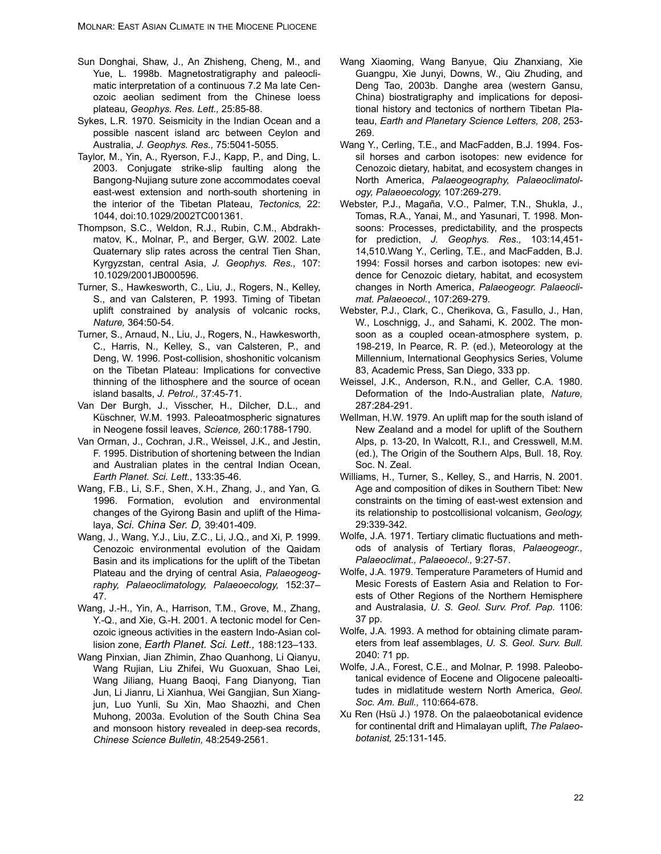- Sun Donghai, Shaw, J., An Zhisheng, Cheng, M., and Yue, L. 1998b. Magnetostratigraphy and paleoclimatic interpretation of a continuous 7.2 Ma late Cenozoic aeolian sediment from the Chinese loess plateau, *Geophys. Res. Lett.,* 25:85-88.
- Sykes, L.R. 1970. Seismicity in the Indian Ocean and a possible nascent island arc between Ceylon and Australia, *J. Geophys. Res.,* 75:5041-5055.
- Taylor, M., Yin, A., Ryerson, F.J., Kapp, P., and Ding, L. 2003. Conjugate strike-slip faulting along the Bangong-Nujiang suture zone accommodates coeval east-west extension and north-south shortening in the interior of the Tibetan Plateau, *Tectonics,* 22: 1044, doi:10.1029/2002TC001361.
- Thompson, S.C., Weldon, R.J., Rubin, C.M., Abdrakhmatov, K., Molnar, P., and Berger, G.W. 2002. Late Quaternary slip rates across the central Tien Shan, Kyrgyzstan, central Asia, *J. Geophys. Res.,* 107: 10.1029/2001JB000596.
- Turner, S., Hawkesworth, C., Liu, J., Rogers, N., Kelley, S., and van Calsteren, P. 1993. Timing of Tibetan uplift constrained by analysis of volcanic rocks, *Nature,* 364:50-54.
- Turner, S., Arnaud, N., Liu, J., Rogers, N., Hawkesworth, C., Harris, N., Kelley, S., van Calsteren, P., and Deng, W. 1996. Post-collision, shoshonitic volcanism on the Tibetan Plateau: Implications for convective thinning of the lithosphere and the source of ocean island basalts, *J. Petrol.,* 37:45-71.
- Van Der Burgh, J., Visscher, H., Dilcher, D.L., and Küschner, W.M. 1993. Paleoatmospheric signatures in Neogene fossil leaves, *Science,* 260:1788-1790.
- Van Orman, J., Cochran, J.R., Weissel, J.K., and Jestin, F. 1995. Distribution of shortening between the Indian and Australian plates in the central Indian Ocean, *Earth Planet. Sci. Lett.*, 133:35-46.
- Wang, F.B., Li, S.F., Shen, X.H., Zhang, J., and Yan, G. 1996. Formation, evolution and environmental changes of the Gyirong Basin and uplift of the Himalaya, *Sci. China Ser. D,* 39:401-409.
- Wang, J., Wang, Y.J., Liu, Z.C., Li, J.Q., and Xi, P. 1999. Cenozoic environmental evolution of the Qaidam Basin and its implications for the uplift of the Tibetan Plateau and the drying of central Asia, *Palaeogeography, Palaeoclimatology, Palaeoecology,* 152:37– 47.
- Wang, J.-H., Yin, A., Harrison, T.M., Grove, M., Zhang, Y.-Q., and Xie, G.-H. 2001. A tectonic model for Cenozoic igneous activities in the eastern Indo-Asian collision zone, *Earth Planet. Sci. Lett.,* 188:123–133.
- Wang Pinxian, Jian Zhimin, Zhao Quanhong, Li Qianyu, Wang Rujian, Liu Zhifei, Wu Guoxuan, Shao Lei, Wang Jiliang, Huang Baoqi, Fang Dianyong, Tian Jun, Li Jianru, Li Xianhua, Wei Gangjian, Sun Xiangjun, Luo Yunli, Su Xin, Mao Shaozhi, and Chen Muhong, 2003a. Evolution of the South China Sea and monsoon history revealed in deep-sea records, *Chinese Science Bulletin,* 48:2549-2561.
- Wang Xiaoming, Wang Banyue, Qiu Zhanxiang, Xie Guangpu, Xie Junyi, Downs, W., Qiu Zhuding, and Deng Tao, 2003b. Danghe area (western Gansu, China) biostratigraphy and implications for depositional history and tectonics of northern Tibetan Plateau, *Earth and Planetary Science Letters, 208*, 253- 269.
- Wang Y., Cerling, T.E., and MacFadden, B.J. 1994. Fossil horses and carbon isotopes: new evidence for Cenozoic dietary, habitat, and ecosystem changes in North America, *Palaeogeography, Palaeoclimatology, Palaeoecology,* 107:269-279.
- Webster, P.J., Magaña, V.O., Palmer, T.N., Shukla, J., Tomas, R.A., Yanai, M., and Yasunari, T. 1998. Monsoons: Processes, predictability, and the prospects for prediction, *J. Geophys. Res.,* 103:14,451- 14,510.Wang Y., Cerling, T.E., and MacFadden, B.J. 1994: Fossil horses and carbon isotopes: new evidence for Cenozoic dietary, habitat, and ecosystem changes in North America, *Palaeogeogr. Palaeoclimat. Palaeoecol.*, 107:269-279.
- Webster, P.J., Clark, C., Cherikova, G., Fasullo, J., Han, W., Loschnigg, J., and Sahami, K. 2002. The monsoon as a coupled ocean-atmosphere system, p. 198-219, In Pearce, R. P. (ed.), Meteorology at the Millennium, International Geophysics Series, Volume 83, Academic Press, San Diego, 333 pp.
- Weissel, J.K., Anderson, R.N., and Geller, C.A. 1980. Deformation of the Indo-Australian plate, *Nature,* 287:284-291.
- Wellman, H.W. 1979. An uplift map for the south island of New Zealand and a model for uplift of the Southern Alps, p. 13-20, In Walcott, R.I., and Cresswell, M.M. (ed.), The Origin of the Southern Alps, Bull. 18, Roy. Soc. N. Zeal.
- Williams, H., Turner, S., Kelley, S., and Harris, N. 2001. Age and composition of dikes in Southern Tibet: New constraints on the timing of east-west extension and its relationship to postcollisional volcanism, *Geology,* 29:339-342.
- Wolfe, J.A. 1971. Tertiary climatic fluctuations and methods of analysis of Tertiary floras, *Palaeogeogr., Palaeoclimat., Palaeoecol.,* 9:27-57.
- Wolfe, J.A. 1979. Temperature Parameters of Humid and Mesic Forests of Eastern Asia and Relation to Forests of Other Regions of the Northern Hemisphere and Australasia, *U. S. Geol. Surv. Prof. Pap.* 1106: 37 pp.
- Wolfe, J.A. 1993. A method for obtaining climate parameters from leaf assemblages, *U. S. Geol. Surv. Bull.* 2040: 71 pp.
- Wolfe, J.A., Forest, C.E., and Molnar, P. 1998. Paleobotanical evidence of Eocene and Oligocene paleoaltitudes in midlatitude western North America, *Geol. Soc. Am. Bull.,* 110:664-678.
- Xu Ren (Hsü J.) 1978. On the palaeobotanical evidence for continental drift and Himalayan uplift, *The Palaeobotanist,* 25:131-145.